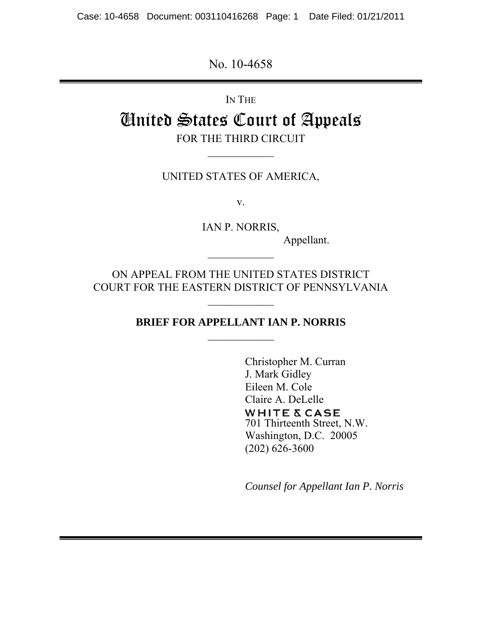Case: 10-4658 Document: 003110416268 Page: 1 Date Filed: 01/21/2011

No. 10-4658

IN THE

# United States Court of Appeals FOR THE THIRD CIRCUIT

UNITED STATES OF AMERICA,

 $\frac{1}{2}$ 

v.

IAN P. NORRIS,

 $\frac{1}{2}$ 

Appellant.

ON APPEAL FROM THE UNITED STATES DISTRICT COURT FOR THE EASTERN DISTRICT OF PENNSYLVANIA

# **BRIEF FOR APPELLANT IAN P. NORRIS**

Christopher M. Curran J. Mark Gidley Eileen M. Cole Claire A. DeLelle **WHITE & CASE** 701 Thirteenth Street, N.W. Washington, D.C. 20005 (202) 626-3600

*Counsel for Appellant Ian P. Norris*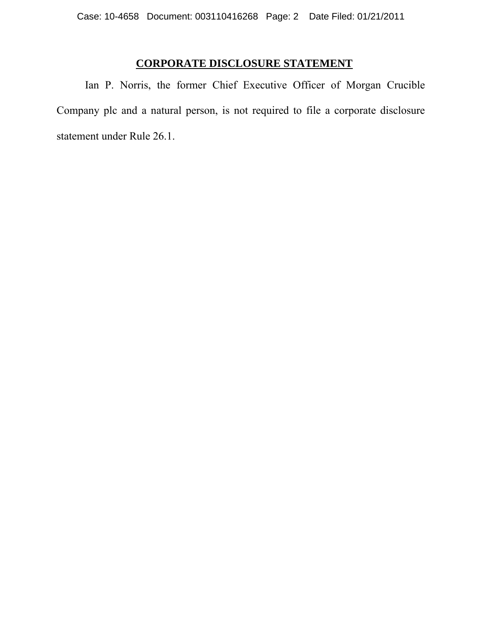# **CORPORATE DISCLOSURE STATEMENT**

Ian P. Norris, the former Chief Executive Officer of Morgan Crucible Company plc and a natural person, is not required to file a corporate disclosure statement under Rule 26.1.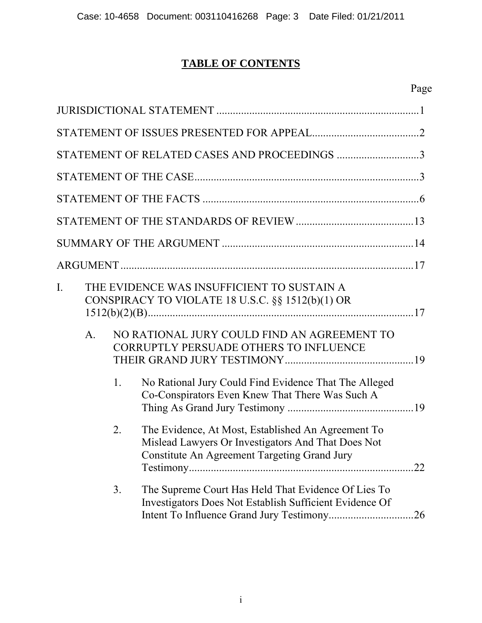# **TABLE OF CONTENTS**

| STATEMENT OF RELATED CASES AND PROCEEDINGS 3 |                                                                                                                |    |                                                                                                                                                                 |  |
|----------------------------------------------|----------------------------------------------------------------------------------------------------------------|----|-----------------------------------------------------------------------------------------------------------------------------------------------------------------|--|
|                                              |                                                                                                                |    |                                                                                                                                                                 |  |
|                                              |                                                                                                                |    |                                                                                                                                                                 |  |
|                                              |                                                                                                                |    |                                                                                                                                                                 |  |
|                                              |                                                                                                                |    |                                                                                                                                                                 |  |
|                                              |                                                                                                                |    |                                                                                                                                                                 |  |
| Ι.                                           |                                                                                                                |    | THE EVIDENCE WAS INSUFFICIENT TO SUSTAIN A<br>CONSPIRACY TO VIOLATE 18 U.S.C. $\S$ 1512(b)(1) OR                                                                |  |
|                                              | NO RATIONAL JURY COULD FIND AN AGREEMENT TO<br>$\mathbf{A}$ .<br><b>CORRUPTLY PERSUADE OTHERS TO INFLUENCE</b> |    |                                                                                                                                                                 |  |
|                                              |                                                                                                                | 1. | No Rational Jury Could Find Evidence That The Alleged<br>Co-Conspirators Even Knew That There Was Such A                                                        |  |
|                                              |                                                                                                                | 2. | The Evidence, At Most, Established An Agreement To<br>Mislead Lawyers Or Investigators And That Does Not<br><b>Constitute An Agreement Targeting Grand Jury</b> |  |
|                                              |                                                                                                                | 3. | The Supreme Court Has Held That Evidence Of Lies To<br>Investigators Does Not Establish Sufficient Evidence Of<br>26                                            |  |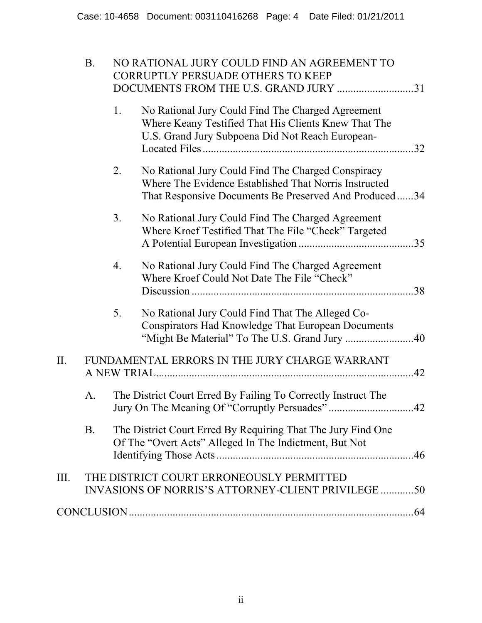|      | <b>B.</b>                                     |    | NO RATIONAL JURY COULD FIND AN AGREEMENT TO<br><b>CORRUPTLY PERSUADE OTHERS TO KEEP</b><br>DOCUMENTS FROM THE U.S. GRAND JURY 31                                     |  |  |
|------|-----------------------------------------------|----|----------------------------------------------------------------------------------------------------------------------------------------------------------------------|--|--|
|      |                                               | 1. | No Rational Jury Could Find The Charged Agreement<br>Where Keany Testified That His Clients Knew That The<br>U.S. Grand Jury Subpoena Did Not Reach European-        |  |  |
|      |                                               | 2. | No Rational Jury Could Find The Charged Conspiracy<br>Where The Evidence Established That Norris Instructed<br>That Responsive Documents Be Preserved And Produced34 |  |  |
|      |                                               | 3. | No Rational Jury Could Find The Charged Agreement<br>Where Kroef Testified That The File "Check" Targeted                                                            |  |  |
|      |                                               | 4. | No Rational Jury Could Find The Charged Agreement<br>Where Kroef Could Not Date The File "Check"                                                                     |  |  |
|      |                                               | 5. | No Rational Jury Could Find That The Alleged Co-<br><b>Conspirators Had Knowledge That European Documents</b>                                                        |  |  |
| Π.   | FUNDAMENTAL ERRORS IN THE JURY CHARGE WARRANT |    |                                                                                                                                                                      |  |  |
|      | A.                                            |    | The District Court Erred By Failing To Correctly Instruct The                                                                                                        |  |  |
|      | Β.                                            |    | The District Court Erred By Requiring That The Jury Find One<br>Of The "Overt Acts" Alleged In The Indictment, But Not                                               |  |  |
| III. |                                               |    | THE DISTRICT COURT ERRONEOUSLY PERMITTED<br><b>INVASIONS OF NORRIS'S ATTORNEY-CLIENT PRIVILEGE 50</b>                                                                |  |  |
|      |                                               |    |                                                                                                                                                                      |  |  |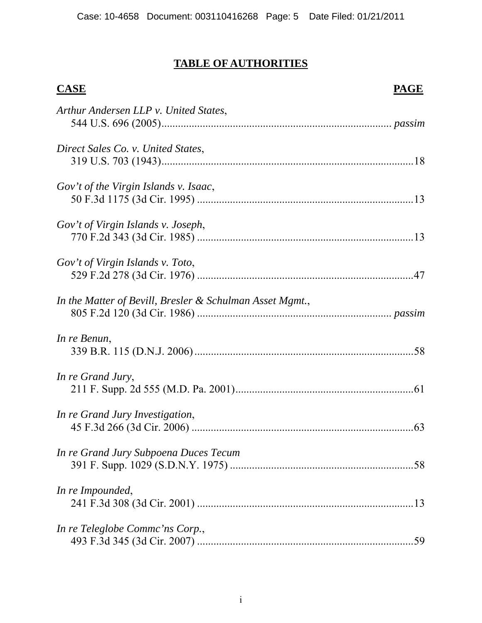# **TABLE OF AUTHORITIES**

# **CASE** PAGE *Arthur Andersen LLP v. United States*, 544 U.S. 696 (2005).................................................................................... *passim Direct Sales Co. v. United States*, 319 U.S. 703 (1943)............................................................................................18 *Gov't of the Virgin Islands v. Isaac*, 50 F.3d 1175 (3d Cir. 1995) ...............................................................................13 *Gov't of Virgin Islands v. Joseph*, 770 F.2d 343 (3d Cir. 1985) ...............................................................................13 *Gov't of Virgin Islands v. Toto*, 529 F.2d 278 (3d Cir. 1976) ...............................................................................47 *In the Matter of Bevill, Bresler & Schulman Asset Mgmt.*, 805 F.2d 120 (3d Cir. 1986) ....................................................................... *passim In re Benun*, 339 B.R. 115 (D.N.J. 2006)................................................................................58 *In re Grand Jury*, 211 F. Supp. 2d 555 (M.D. Pa. 2001).................................................................61 *In re Grand Jury Investigation*, 45 F.3d 266 (3d Cir. 2006) .................................................................................63 *In re Grand Jury Subpoena Duces Tecum*  391 F. Supp. 1029 (S.D.N.Y. 1975) ...................................................................58 *In re Impounded*, 241 F.3d 308 (3d Cir. 2001) ...............................................................................13 *In re Teleglobe Commc'ns Corp.*, 493 F.3d 345 (3d Cir. 2007) ...............................................................................59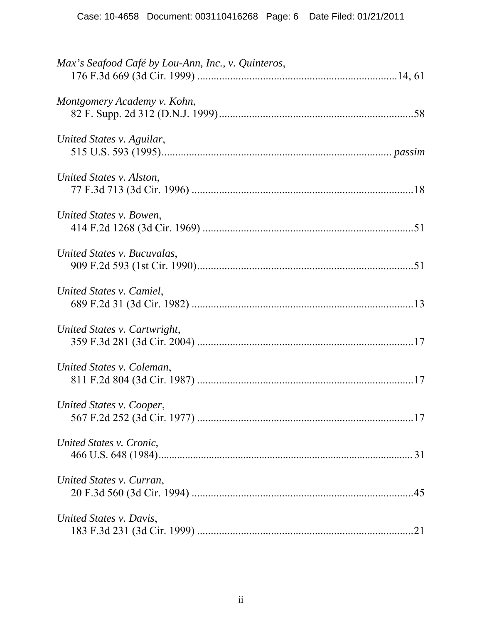| Max's Seafood Café by Lou-Ann, Inc., v. Quinteros, |
|----------------------------------------------------|
| Montgomery Academy v. Kohn,                        |
| United States v. Aguilar,                          |
| United States v. Alston,                           |
| United States v. Bowen,                            |
| United States v. Bucuvalas,                        |
| United States v. Camiel,                           |
| United States v. Cartwright,                       |
| United States v. Coleman,                          |
| United States v. Cooper,                           |
| United States v. Cronic,                           |
| United States v. Curran,                           |
| United States v. Davis,                            |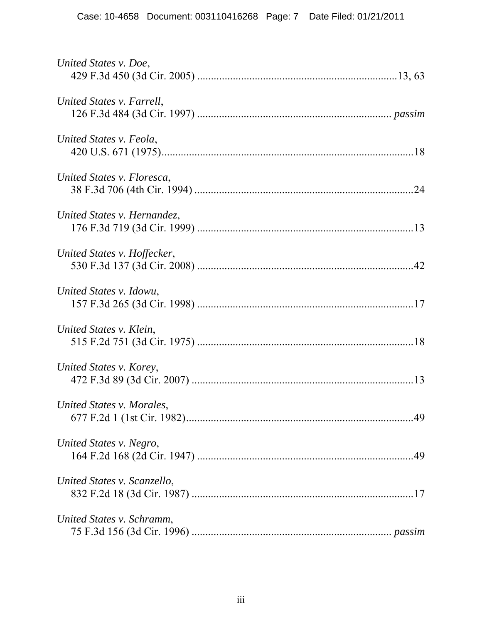| United States v. Doe,       |  |
|-----------------------------|--|
| United States v. Farrell,   |  |
| United States v. Feola,     |  |
| United States v. Floresca,  |  |
| United States v. Hernandez. |  |
| United States v. Hoffecker, |  |
| United States v. Idowu,     |  |
| United States v. Klein,     |  |
| United States v. Korey,     |  |
| United States v. Morales,   |  |
| United States v. Negro,     |  |
| United States v. Scanzello, |  |
| United States v. Schramm,   |  |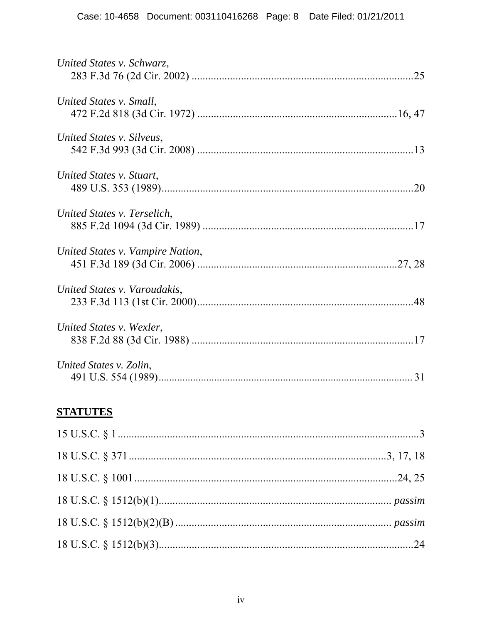| United States v. Schwarz,        |
|----------------------------------|
| United States v. Small,          |
| United States v. Silveus,        |
| United States v. Stuart,         |
| United States v. Terselich,      |
| United States v. Vampire Nation, |
| United States v. Varoudakis,     |
| United States v. Wexler,         |
| United States v. Zolin,          |

# **STATUTES**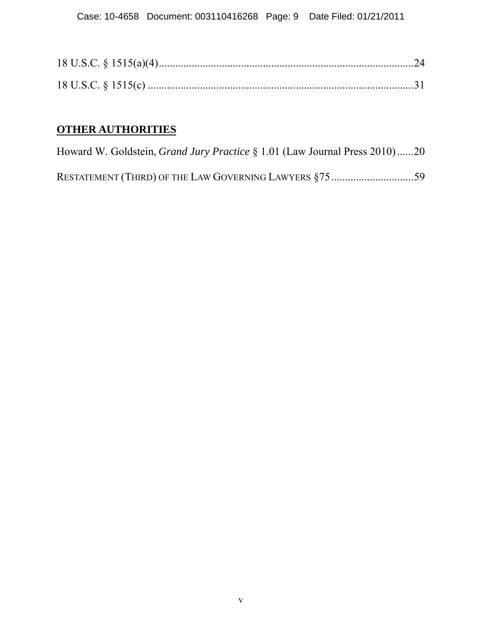# **OTHER AUTHORITIES**

Howard W. Goldstein, *Grand Jury Practice* § 1.01 (Law Journal Press 2010)......20

RESTATEMENT (THIRD) OF THE LAW GOVERNING LAWYERS §75..............................59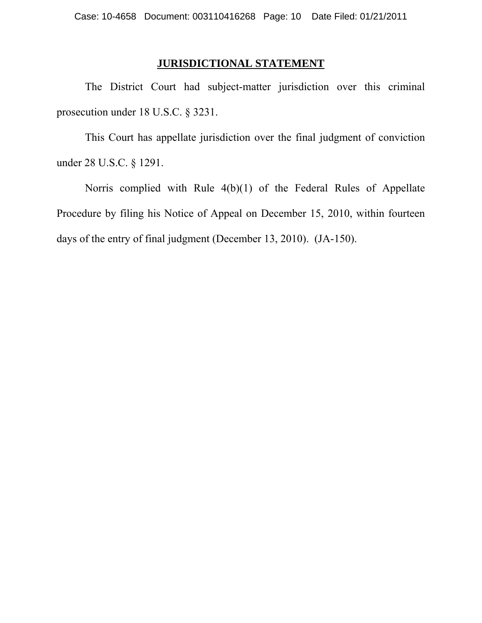# **JURISDICTIONAL STATEMENT**

 The District Court had subject-matter jurisdiction over this criminal prosecution under 18 U.S.C. § 3231.

 This Court has appellate jurisdiction over the final judgment of conviction under 28 U.S.C. § 1291.

 Norris complied with Rule 4(b)(1) of the Federal Rules of Appellate Procedure by filing his Notice of Appeal on December 15, 2010, within fourteen days of the entry of final judgment (December 13, 2010). (JA-150).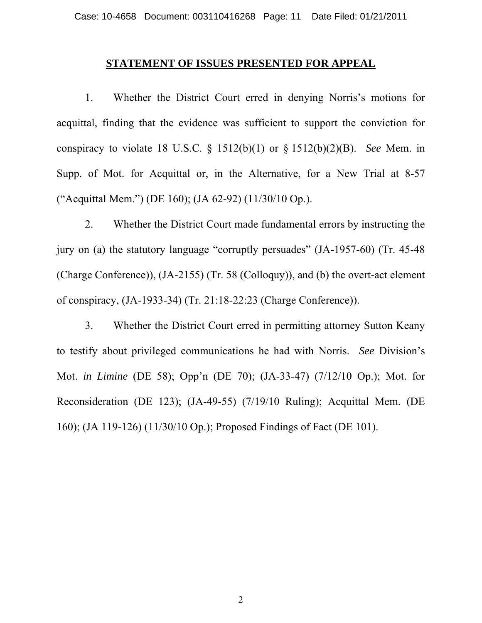#### **STATEMENT OF ISSUES PRESENTED FOR APPEAL**

 1. Whether the District Court erred in denying Norris's motions for acquittal, finding that the evidence was sufficient to support the conviction for conspiracy to violate 18 U.S.C. § 1512(b)(1) or § 1512(b)(2)(B). *See* Mem. in Supp. of Mot. for Acquittal or, in the Alternative, for a New Trial at 8-57 ("Acquittal Mem.") (DE 160); (JA 62-92) (11/30/10 Op.).

 2. Whether the District Court made fundamental errors by instructing the jury on (a) the statutory language "corruptly persuades" (JA-1957-60) (Tr. 45-48 (Charge Conference)), (JA-2155) (Tr. 58 (Colloquy)), and (b) the overt-act element of conspiracy, (JA-1933-34) (Tr. 21:18-22:23 (Charge Conference)).

 3. Whether the District Court erred in permitting attorney Sutton Keany to testify about privileged communications he had with Norris. *See* Division's Mot. *in Limine* (DE 58); Opp'n (DE 70); (JA-33-47) (7/12/10 Op.); Mot. for Reconsideration (DE 123); (JA-49-55) (7/19/10 Ruling); Acquittal Mem. (DE 160); (JA 119-126) (11/30/10 Op.); Proposed Findings of Fact (DE 101).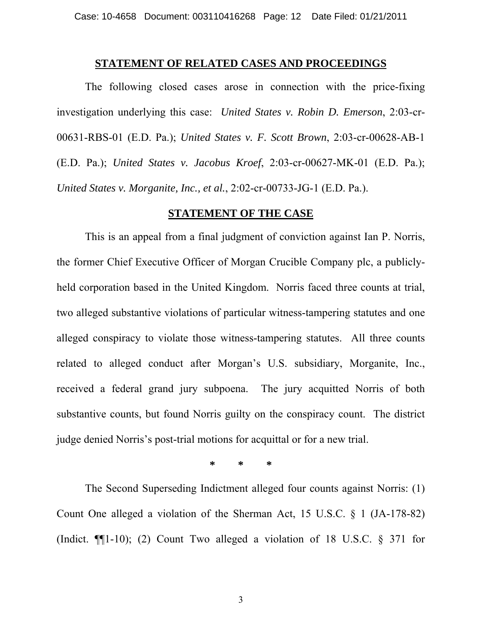#### **STATEMENT OF RELATED CASES AND PROCEEDINGS**

 The following closed cases arose in connection with the price-fixing investigation underlying this case: *United States v. Robin D. Emerson*, 2:03-cr-00631-RBS-01 (E.D. Pa.); *United States v. F. Scott Brown*, 2:03-cr-00628-AB-1 (E.D. Pa.); *United States v. Jacobus Kroef*, 2:03-cr-00627-MK-01 (E.D. Pa.); *United States v. Morganite, Inc., et al.*, 2:02-cr-00733-JG-1 (E.D. Pa.).

## **STATEMENT OF THE CASE**

 This is an appeal from a final judgment of conviction against Ian P. Norris, the former Chief Executive Officer of Morgan Crucible Company plc, a publiclyheld corporation based in the United Kingdom. Norris faced three counts at trial, two alleged substantive violations of particular witness-tampering statutes and one alleged conspiracy to violate those witness-tampering statutes. All three counts related to alleged conduct after Morgan's U.S. subsidiary, Morganite, Inc., received a federal grand jury subpoena. The jury acquitted Norris of both substantive counts, but found Norris guilty on the conspiracy count. The district judge denied Norris's post-trial motions for acquittal or for a new trial.

**\* \* \*** 

 The Second Superseding Indictment alleged four counts against Norris: (1) Count One alleged a violation of the Sherman Act, 15 U.S.C. § 1 (JA-178-82) (Indict. ¶¶1-10); (2) Count Two alleged a violation of 18 U.S.C. § 371 for

3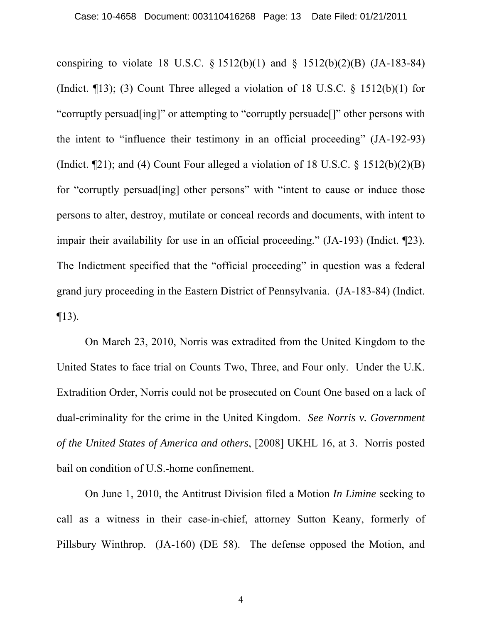conspiring to violate 18 U.S.C.  $\S 1512(b)(1)$  and  $\S 1512(b)(2)(B)$  (JA-183-84) (Indict.  $\P$ 13); (3) Count Three alleged a violation of 18 U.S.C. § 1512(b)(1) for "corruptly persuad[ing]" or attempting to "corruptly persuade[]" other persons with the intent to "influence their testimony in an official proceeding" (JA-192-93) (Indict.  $\P$ 21); and (4) Count Four alleged a violation of 18 U.S.C. § 1512(b)(2)(B) for "corruptly persuad[ing] other persons" with "intent to cause or induce those persons to alter, destroy, mutilate or conceal records and documents, with intent to impair their availability for use in an official proceeding." (JA-193) (Indict. ¶23). The Indictment specified that the "official proceeding" in question was a federal grand jury proceeding in the Eastern District of Pennsylvania. (JA-183-84) (Indict.  $\P$ 13).

 On March 23, 2010, Norris was extradited from the United Kingdom to the United States to face trial on Counts Two, Three, and Four only. Under the U.K. Extradition Order, Norris could not be prosecuted on Count One based on a lack of dual-criminality for the crime in the United Kingdom. *See Norris v. Government of the United States of America and others*, [2008] UKHL 16, at 3. Norris posted bail on condition of U.S.-home confinement.

 On June 1, 2010, the Antitrust Division filed a Motion *In Limine* seeking to call as a witness in their case-in-chief, attorney Sutton Keany, formerly of Pillsbury Winthrop. (JA-160) (DE 58). The defense opposed the Motion, and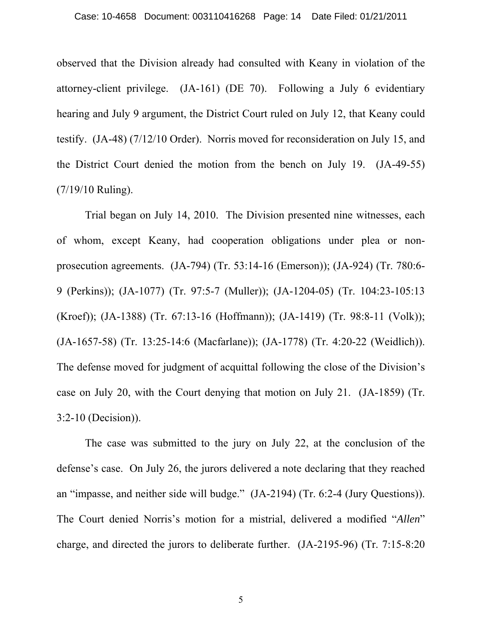observed that the Division already had consulted with Keany in violation of the attorney-client privilege. (JA-161) (DE 70). Following a July 6 evidentiary hearing and July 9 argument, the District Court ruled on July 12, that Keany could testify. (JA-48) (7/12/10 Order). Norris moved for reconsideration on July 15, and the District Court denied the motion from the bench on July 19. (JA-49-55) (7/19/10 Ruling).

 Trial began on July 14, 2010. The Division presented nine witnesses, each of whom, except Keany, had cooperation obligations under plea or nonprosecution agreements. (JA-794) (Tr. 53:14-16 (Emerson)); (JA-924) (Tr. 780:6- 9 (Perkins)); (JA-1077) (Tr. 97:5-7 (Muller)); (JA-1204-05) (Tr. 104:23-105:13 (Kroef)); (JA-1388) (Tr. 67:13-16 (Hoffmann)); (JA-1419) (Tr. 98:8-11 (Volk)); (JA-1657-58) (Tr. 13:25-14:6 (Macfarlane)); (JA-1778) (Tr. 4:20-22 (Weidlich)). The defense moved for judgment of acquittal following the close of the Division's case on July 20, with the Court denying that motion on July 21. (JA-1859) (Tr. 3:2-10 (Decision)).

 The case was submitted to the jury on July 22, at the conclusion of the defense's case. On July 26, the jurors delivered a note declaring that they reached an "impasse, and neither side will budge." (JA-2194) (Tr. 6:2-4 (Jury Questions)). The Court denied Norris's motion for a mistrial, delivered a modified "*Allen*" charge, and directed the jurors to deliberate further. (JA-2195-96) (Tr. 7:15-8:20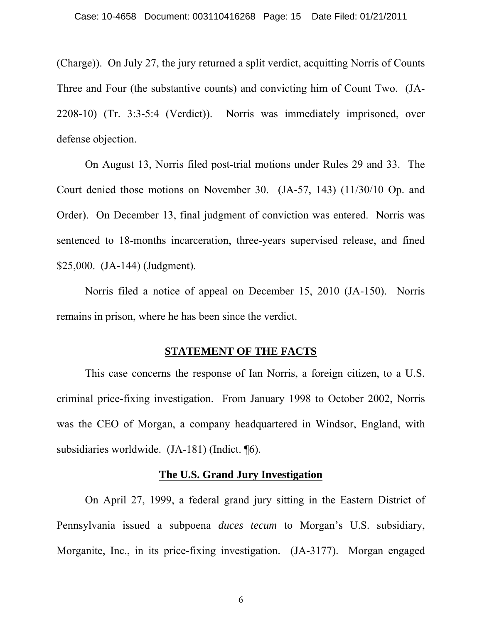(Charge)). On July 27, the jury returned a split verdict, acquitting Norris of Counts Three and Four (the substantive counts) and convicting him of Count Two. (JA-2208-10) (Tr. 3:3-5:4 (Verdict)). Norris was immediately imprisoned, over defense objection.

 On August 13, Norris filed post-trial motions under Rules 29 and 33. The Court denied those motions on November 30. (JA-57, 143) (11/30/10 Op. and Order). On December 13, final judgment of conviction was entered. Norris was sentenced to 18-months incarceration, three-years supervised release, and fined \$25,000. (JA-144) (Judgment).

 Norris filed a notice of appeal on December 15, 2010 (JA-150). Norris remains in prison, where he has been since the verdict.

## **STATEMENT OF THE FACTS**

 This case concerns the response of Ian Norris, a foreign citizen, to a U.S. criminal price-fixing investigation. From January 1998 to October 2002, Norris was the CEO of Morgan, a company headquartered in Windsor, England, with subsidiaries worldwide. (JA-181) (Indict. ¶6).

#### **The U.S. Grand Jury Investigation**

 On April 27, 1999, a federal grand jury sitting in the Eastern District of Pennsylvania issued a subpoena *duces tecum* to Morgan's U.S. subsidiary, Morganite, Inc., in its price-fixing investigation. (JA-3177). Morgan engaged

6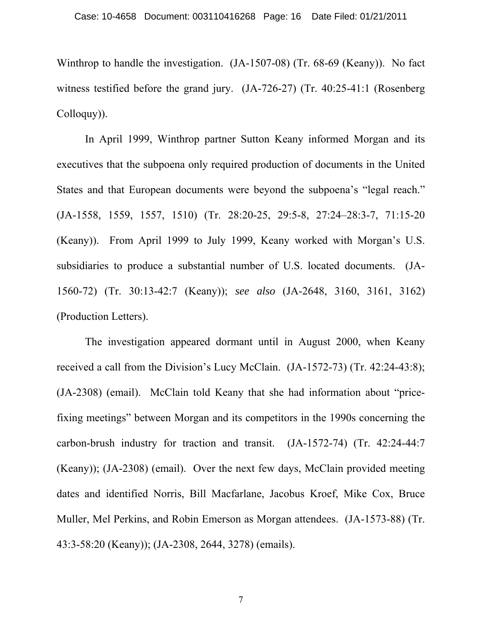Winthrop to handle the investigation. (JA-1507-08) (Tr. 68-69 (Keany)). No fact witness testified before the grand jury. (JA-726-27) (Tr. 40:25-41:1 (Rosenberg Colloquy)).

 In April 1999, Winthrop partner Sutton Keany informed Morgan and its executives that the subpoena only required production of documents in the United States and that European documents were beyond the subpoena's "legal reach." (JA-1558, 1559, 1557, 1510) (Tr. 28:20-25, 29:5-8, 27:24–28:3-7, 71:15-20 (Keany)). From April 1999 to July 1999, Keany worked with Morgan's U.S. subsidiaries to produce a substantial number of U.S. located documents. (JA-1560-72) (Tr. 30:13-42:7 (Keany)); *see also* (JA-2648, 3160, 3161, 3162) (Production Letters).

 The investigation appeared dormant until in August 2000, when Keany received a call from the Division's Lucy McClain. (JA-1572-73) (Tr. 42:24-43:8); (JA-2308) (email). McClain told Keany that she had information about "pricefixing meetings" between Morgan and its competitors in the 1990s concerning the carbon-brush industry for traction and transit. (JA-1572-74) (Tr. 42:24-44:7 (Keany)); (JA-2308) (email). Over the next few days, McClain provided meeting dates and identified Norris, Bill Macfarlane, Jacobus Kroef, Mike Cox, Bruce Muller, Mel Perkins, and Robin Emerson as Morgan attendees. (JA-1573-88) (Tr. 43:3-58:20 (Keany)); (JA-2308, 2644, 3278) (emails).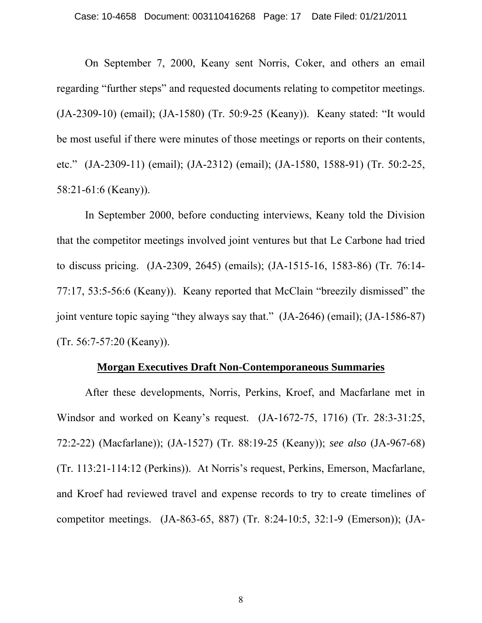On September 7, 2000, Keany sent Norris, Coker, and others an email regarding "further steps" and requested documents relating to competitor meetings. (JA-2309-10) (email); (JA-1580) (Tr. 50:9-25 (Keany)). Keany stated: "It would be most useful if there were minutes of those meetings or reports on their contents, etc." (JA-2309-11) (email); (JA-2312) (email); (JA-1580, 1588-91) (Tr. 50:2-25, 58:21-61:6 (Keany)).

 In September 2000, before conducting interviews, Keany told the Division that the competitor meetings involved joint ventures but that Le Carbone had tried to discuss pricing. (JA-2309, 2645) (emails); (JA-1515-16, 1583-86) (Tr. 76:14- 77:17, 53:5-56:6 (Keany)). Keany reported that McClain "breezily dismissed" the joint venture topic saying "they always say that." (JA-2646) (email); (JA-1586-87) (Tr. 56:7-57:20 (Keany)).

### **Morgan Executives Draft Non-Contemporaneous Summaries**

 After these developments, Norris, Perkins, Kroef, and Macfarlane met in Windsor and worked on Keany's request. (JA-1672-75, 1716) (Tr. 28:3-31:25, 72:2-22) (Macfarlane)); (JA-1527) (Tr. 88:19-25 (Keany)); *see also* (JA-967-68) (Tr. 113:21-114:12 (Perkins)). At Norris's request, Perkins, Emerson, Macfarlane, and Kroef had reviewed travel and expense records to try to create timelines of competitor meetings. (JA-863-65, 887) (Tr. 8:24-10:5, 32:1-9 (Emerson)); (JA-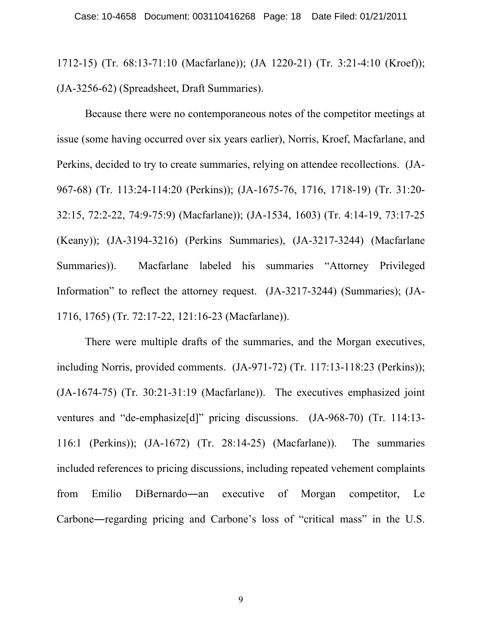1712-15) (Tr. 68:13-71:10 (Macfarlane)); (JA 1220-21) (Tr. 3:21-4:10 (Kroef)); (JA-3256-62) (Spreadsheet, Draft Summaries).

 Because there were no contemporaneous notes of the competitor meetings at issue (some having occurred over six years earlier), Norris, Kroef, Macfarlane, and Perkins, decided to try to create summaries, relying on attendee recollections. (JA-967-68) (Tr. 113:24-114:20 (Perkins)); (JA-1675-76, 1716, 1718-19) (Tr. 31:20- 32:15, 72:2-22, 74:9-75:9) (Macfarlane)); (JA-1534, 1603) (Tr. 4:14-19, 73:17-25 (Keany)); (JA-3194-3216) (Perkins Summaries), (JA-3217-3244) (Macfarlane Summaries)). Macfarlane labeled his summaries "Attorney Privileged Information" to reflect the attorney request. (JA-3217-3244) (Summaries); (JA-1716, 1765) (Tr. 72:17-22, 121:16-23 (Macfarlane)).

 There were multiple drafts of the summaries, and the Morgan executives, including Norris, provided comments. (JA-971-72) (Tr. 117:13-118:23 (Perkins)); (JA-1674-75) (Tr. 30:21-31:19 (Macfarlane)). The executives emphasized joint ventures and "de-emphasize[d]" pricing discussions. (JA-968-70) (Tr. 114:13- 116:1 (Perkins)); (JA-1672) (Tr. 28:14-25) (Macfarlane)). The summaries included references to pricing discussions, including repeated vehement complaints from Emilio DiBernardo―an executive of Morgan competitor, Le Carbone―regarding pricing and Carbone's loss of "critical mass" in the U.S.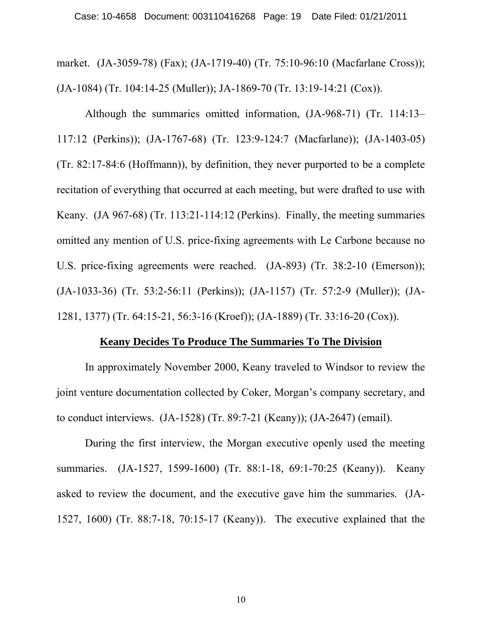market. (JA-3059-78) (Fax); (JA-1719-40) (Tr. 75:10-96:10 (Macfarlane Cross)); (JA-1084) (Tr. 104:14-25 (Muller)); JA-1869-70 (Tr. 13:19-14:21 (Cox)).

 Although the summaries omitted information, (JA-968-71) (Tr. 114:13– 117:12 (Perkins)); (JA-1767-68) (Tr. 123:9-124:7 (Macfarlane)); (JA-1403-05) (Tr. 82:17-84:6 (Hoffmann)), by definition, they never purported to be a complete recitation of everything that occurred at each meeting, but were drafted to use with Keany. (JA 967-68) (Tr. 113:21-114:12 (Perkins). Finally, the meeting summaries omitted any mention of U.S. price-fixing agreements with Le Carbone because no U.S. price-fixing agreements were reached. (JA-893) (Tr. 38:2-10 (Emerson)); (JA-1033-36) (Tr. 53:2-56:11 (Perkins)); (JA-1157) (Tr. 57:2-9 (Muller)); (JA-1281, 1377) (Tr. 64:15-21, 56:3-16 (Kroef)); (JA-1889) (Tr. 33:16-20 (Cox)).

## **Keany Decides To Produce The Summaries To The Division**

 In approximately November 2000, Keany traveled to Windsor to review the joint venture documentation collected by Coker, Morgan's company secretary, and to conduct interviews. (JA-1528) (Tr. 89:7-21 (Keany)); (JA-2647) (email).

 During the first interview, the Morgan executive openly used the meeting summaries. (JA-1527, 1599-1600) (Tr. 88:1-18, 69:1-70:25 (Keany)). Keany asked to review the document, and the executive gave him the summaries. (JA-1527, 1600) (Tr. 88:7-18, 70:15-17 (Keany)). The executive explained that the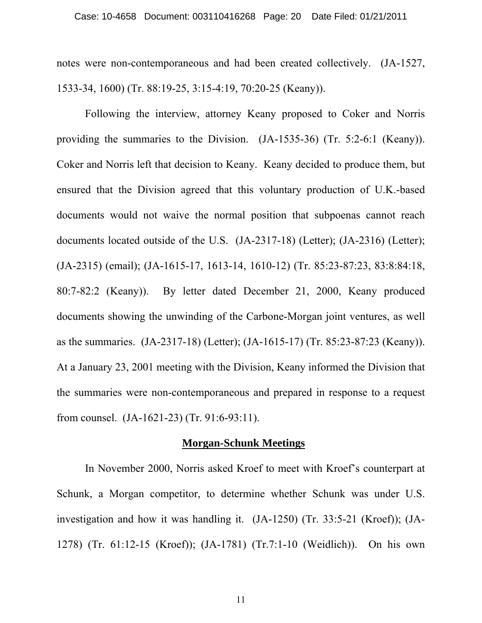notes were non-contemporaneous and had been created collectively. (JA-1527, 1533-34, 1600) (Tr. 88:19-25, 3:15-4:19, 70:20-25 (Keany)).

 Following the interview, attorney Keany proposed to Coker and Norris providing the summaries to the Division. (JA-1535-36) (Tr. 5:2-6:1 (Keany)). Coker and Norris left that decision to Keany. Keany decided to produce them, but ensured that the Division agreed that this voluntary production of U.K.-based documents would not waive the normal position that subpoenas cannot reach documents located outside of the U.S. (JA-2317-18) (Letter); (JA-2316) (Letter); (JA-2315) (email); (JA-1615-17, 1613-14, 1610-12) (Tr. 85:23-87:23, 83:8:84:18, 80:7-82:2 (Keany)). By letter dated December 21, 2000, Keany produced documents showing the unwinding of the Carbone-Morgan joint ventures, as well as the summaries. (JA-2317-18) (Letter); (JA-1615-17) (Tr. 85:23-87:23 (Keany)). At a January 23, 2001 meeting with the Division, Keany informed the Division that the summaries were non-contemporaneous and prepared in response to a request from counsel. (JA-1621-23) (Tr. 91:6-93:11).

#### **Morgan-Schunk Meetings**

 In November 2000, Norris asked Kroef to meet with Kroef's counterpart at Schunk, a Morgan competitor, to determine whether Schunk was under U.S. investigation and how it was handling it. (JA-1250) (Tr. 33:5-21 (Kroef)); (JA-1278) (Tr. 61:12-15 (Kroef)); (JA-1781) (Tr.7:1-10 (Weidlich)). On his own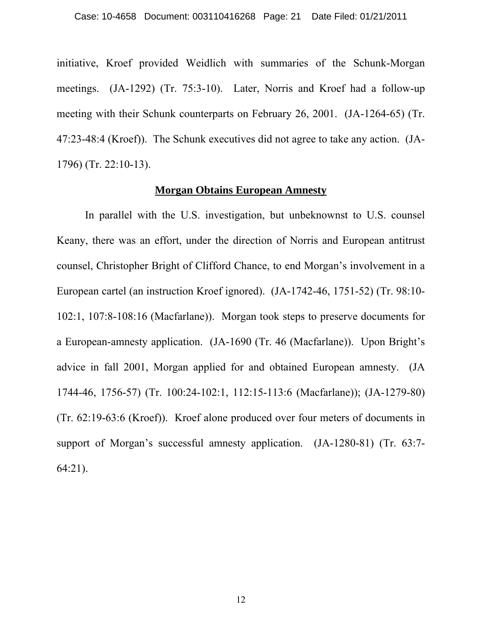initiative, Kroef provided Weidlich with summaries of the Schunk-Morgan meetings. (JA-1292) (Tr. 75:3-10). Later, Norris and Kroef had a follow-up meeting with their Schunk counterparts on February 26, 2001. (JA-1264-65) (Tr. 47:23-48:4 (Kroef)). The Schunk executives did not agree to take any action. (JA-1796) (Tr. 22:10-13).

#### **Morgan Obtains European Amnesty**

 In parallel with the U.S. investigation, but unbeknownst to U.S. counsel Keany, there was an effort, under the direction of Norris and European antitrust counsel, Christopher Bright of Clifford Chance, to end Morgan's involvement in a European cartel (an instruction Kroef ignored). (JA-1742-46, 1751-52) (Tr. 98:10- 102:1, 107:8-108:16 (Macfarlane)). Morgan took steps to preserve documents for a European-amnesty application. (JA-1690 (Tr. 46 (Macfarlane)). Upon Bright's advice in fall 2001, Morgan applied for and obtained European amnesty. (JA 1744-46, 1756-57) (Tr. 100:24-102:1, 112:15-113:6 (Macfarlane)); (JA-1279-80) (Tr. 62:19-63:6 (Kroef)). Kroef alone produced over four meters of documents in support of Morgan's successful amnesty application. (JA-1280-81) (Tr. 63:7- 64:21).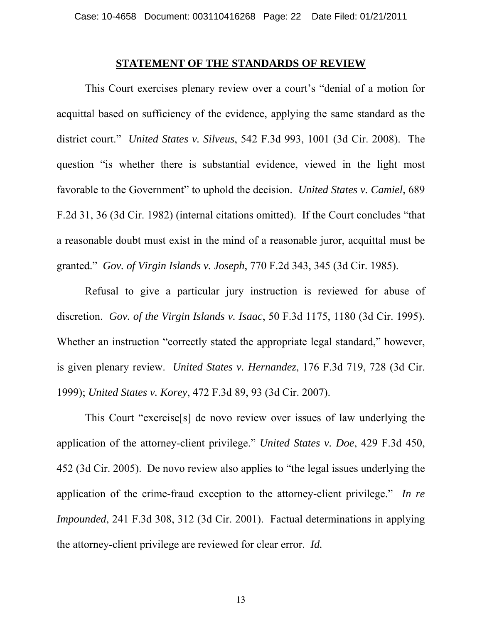#### **STATEMENT OF THE STANDARDS OF REVIEW**

 This Court exercises plenary review over a court's "denial of a motion for acquittal based on sufficiency of the evidence, applying the same standard as the district court." *United States v. Silveus*, 542 F.3d 993, 1001 (3d Cir. 2008). The question "is whether there is substantial evidence, viewed in the light most favorable to the Government" to uphold the decision. *United States v. Camiel*, 689 F.2d 31, 36 (3d Cir. 1982) (internal citations omitted). If the Court concludes "that a reasonable doubt must exist in the mind of a reasonable juror, acquittal must be granted." *Gov. of Virgin Islands v. Joseph*, 770 F.2d 343, 345 (3d Cir. 1985).

 Refusal to give a particular jury instruction is reviewed for abuse of discretion. *Gov. of the Virgin Islands v. Isaac*, 50 F.3d 1175, 1180 (3d Cir. 1995). Whether an instruction "correctly stated the appropriate legal standard," however, is given plenary review. *United States v. Hernandez*, 176 F.3d 719, 728 (3d Cir. 1999); *United States v. Korey*, 472 F.3d 89, 93 (3d Cir. 2007).

 This Court "exercise[s] de novo review over issues of law underlying the application of the attorney-client privilege." *United States v. Doe*, 429 F.3d 450, 452 (3d Cir. 2005). De novo review also applies to "the legal issues underlying the application of the crime-fraud exception to the attorney-client privilege." *In re Impounded*, 241 F.3d 308, 312 (3d Cir. 2001). Factual determinations in applying the attorney-client privilege are reviewed for clear error. *Id.*

13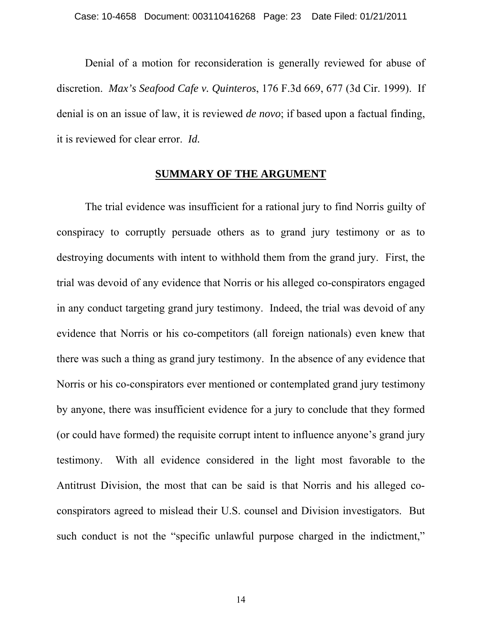Denial of a motion for reconsideration is generally reviewed for abuse of discretion. *Max's Seafood Cafe v. Quinteros*, 176 F.3d 669, 677 (3d Cir. 1999). If denial is on an issue of law, it is reviewed *de novo*; if based upon a factual finding, it is reviewed for clear error. *Id.*

## **SUMMARY OF THE ARGUMENT**

The trial evidence was insufficient for a rational jury to find Norris guilty of conspiracy to corruptly persuade others as to grand jury testimony or as to destroying documents with intent to withhold them from the grand jury. First, the trial was devoid of any evidence that Norris or his alleged co-conspirators engaged in any conduct targeting grand jury testimony. Indeed, the trial was devoid of any evidence that Norris or his co-competitors (all foreign nationals) even knew that there was such a thing as grand jury testimony. In the absence of any evidence that Norris or his co-conspirators ever mentioned or contemplated grand jury testimony by anyone, there was insufficient evidence for a jury to conclude that they formed (or could have formed) the requisite corrupt intent to influence anyone's grand jury testimony. With all evidence considered in the light most favorable to the Antitrust Division, the most that can be said is that Norris and his alleged coconspirators agreed to mislead their U.S. counsel and Division investigators. But such conduct is not the "specific unlawful purpose charged in the indictment,"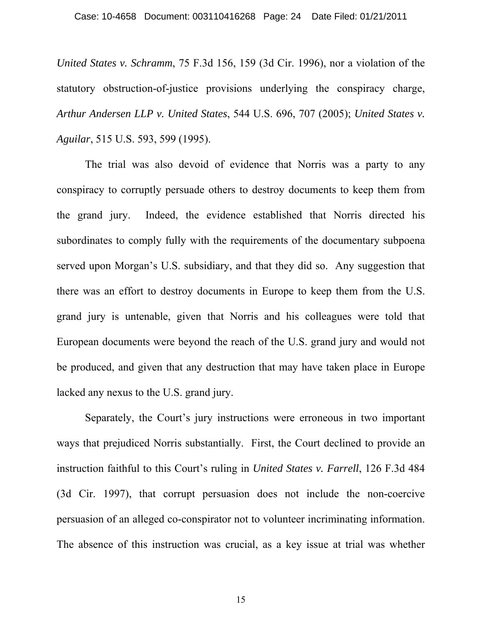*United States v. Schramm*, 75 F.3d 156, 159 (3d Cir. 1996), nor a violation of the statutory obstruction-of-justice provisions underlying the conspiracy charge, *Arthur Andersen LLP v. United States*, 544 U.S. 696, 707 (2005); *United States v. Aguilar*, 515 U.S. 593, 599 (1995).

The trial was also devoid of evidence that Norris was a party to any conspiracy to corruptly persuade others to destroy documents to keep them from the grand jury. Indeed, the evidence established that Norris directed his subordinates to comply fully with the requirements of the documentary subpoena served upon Morgan's U.S. subsidiary, and that they did so. Any suggestion that there was an effort to destroy documents in Europe to keep them from the U.S. grand jury is untenable, given that Norris and his colleagues were told that European documents were beyond the reach of the U.S. grand jury and would not be produced, and given that any destruction that may have taken place in Europe lacked any nexus to the U.S. grand jury.

Separately, the Court's jury instructions were erroneous in two important ways that prejudiced Norris substantially. First, the Court declined to provide an instruction faithful to this Court's ruling in *United States v. Farrell*, 126 F.3d 484 (3d Cir. 1997), that corrupt persuasion does not include the non-coercive persuasion of an alleged co-conspirator not to volunteer incriminating information. The absence of this instruction was crucial, as a key issue at trial was whether

15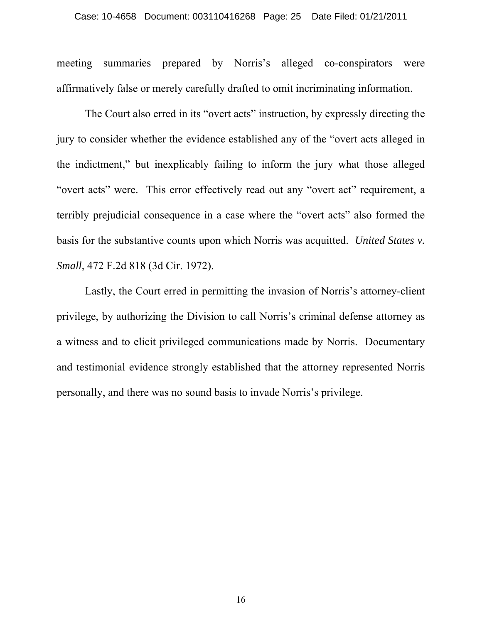meeting summaries prepared by Norris's alleged co-conspirators were affirmatively false or merely carefully drafted to omit incriminating information.

The Court also erred in its "overt acts" instruction, by expressly directing the jury to consider whether the evidence established any of the "overt acts alleged in the indictment," but inexplicably failing to inform the jury what those alleged "overt acts" were. This error effectively read out any "overt act" requirement, a terribly prejudicial consequence in a case where the "overt acts" also formed the basis for the substantive counts upon which Norris was acquitted. *United States v. Small*, 472 F.2d 818 (3d Cir. 1972).

Lastly, the Court erred in permitting the invasion of Norris's attorney-client privilege, by authorizing the Division to call Norris's criminal defense attorney as a witness and to elicit privileged communications made by Norris. Documentary and testimonial evidence strongly established that the attorney represented Norris personally, and there was no sound basis to invade Norris's privilege.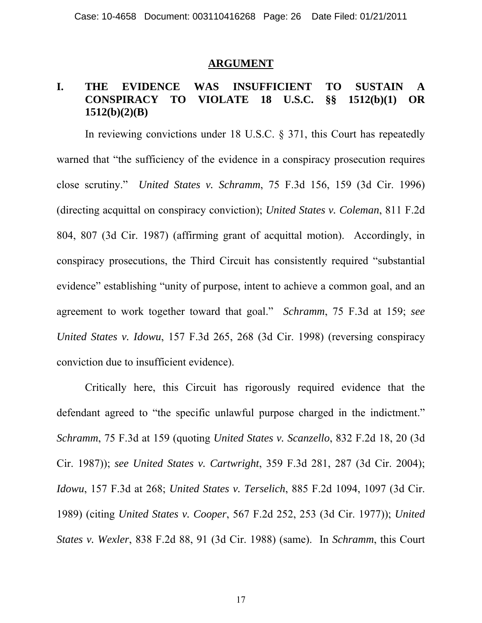#### **ARGUMENT**

# **I. THE EVIDENCE WAS INSUFFICIENT TO SUSTAIN A CONSPIRACY TO VIOLATE 18 U.S.C. §§ 1512(b)(1) OR 1512(b)(2)(B)**

In reviewing convictions under 18 U.S.C. § 371, this Court has repeatedly warned that "the sufficiency of the evidence in a conspiracy prosecution requires close scrutiny." *United States v. Schramm*, 75 F.3d 156, 159 (3d Cir. 1996) (directing acquittal on conspiracy conviction); *United States v. Coleman*, 811 F.2d 804, 807 (3d Cir. 1987) (affirming grant of acquittal motion). Accordingly, in conspiracy prosecutions, the Third Circuit has consistently required "substantial evidence" establishing "unity of purpose, intent to achieve a common goal, and an agreement to work together toward that goal." *Schramm*, 75 F.3d at 159; *see United States v. Idowu*, 157 F.3d 265, 268 (3d Cir. 1998) (reversing conspiracy conviction due to insufficient evidence).

Critically here, this Circuit has rigorously required evidence that the defendant agreed to "the specific unlawful purpose charged in the indictment." *Schramm*, 75 F.3d at 159 (quoting *United States v. Scanzello*, 832 F.2d 18, 20 (3d Cir. 1987)); *see United States v. Cartwright*, 359 F.3d 281, 287 (3d Cir. 2004); *Idowu*, 157 F.3d at 268; *United States v. Terselich*, 885 F.2d 1094, 1097 (3d Cir. 1989) (citing *United States v. Cooper*, 567 F.2d 252, 253 (3d Cir. 1977)); *United States v. Wexler*, 838 F.2d 88, 91 (3d Cir. 1988) (same). In *Schramm*, this Court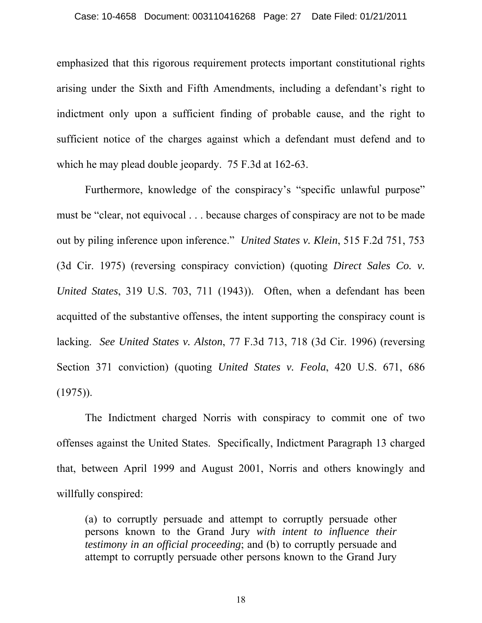emphasized that this rigorous requirement protects important constitutional rights arising under the Sixth and Fifth Amendments, including a defendant's right to indictment only upon a sufficient finding of probable cause, and the right to sufficient notice of the charges against which a defendant must defend and to which he may plead double jeopardy. 75 F.3d at 162-63.

Furthermore, knowledge of the conspiracy's "specific unlawful purpose" must be "clear, not equivocal . . . because charges of conspiracy are not to be made out by piling inference upon inference." *United States v. Klein*, 515 F.2d 751, 753 (3d Cir. 1975) (reversing conspiracy conviction) (quoting *Direct Sales Co. v. United States*, 319 U.S. 703, 711 (1943)). Often, when a defendant has been acquitted of the substantive offenses, the intent supporting the conspiracy count is lacking. *See United States v. Alston*, 77 F.3d 713, 718 (3d Cir. 1996) (reversing Section 371 conviction) (quoting *United States v. Feola*, 420 U.S. 671, 686  $(1975)$ .

The Indictment charged Norris with conspiracy to commit one of two offenses against the United States. Specifically, Indictment Paragraph 13 charged that, between April 1999 and August 2001, Norris and others knowingly and willfully conspired:

(a) to corruptly persuade and attempt to corruptly persuade other persons known to the Grand Jury *with intent to influence their testimony in an official proceeding*; and (b) to corruptly persuade and attempt to corruptly persuade other persons known to the Grand Jury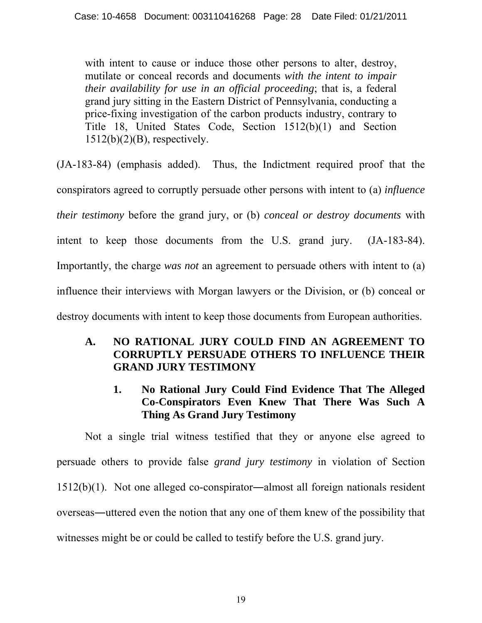with intent to cause or induce those other persons to alter, destroy, mutilate or conceal records and documents *with the intent to impair their availability for use in an official proceeding*; that is, a federal grand jury sitting in the Eastern District of Pennsylvania, conducting a price-fixing investigation of the carbon products industry, contrary to Title 18, United States Code, Section 1512(b)(1) and Section  $1512(b)(2)(B)$ , respectively.

(JA-183-84) (emphasis added). Thus, the Indictment required proof that the conspirators agreed to corruptly persuade other persons with intent to (a) *influence their testimony* before the grand jury, or (b) *conceal or destroy documents* with intent to keep those documents from the U.S. grand jury. (JA-183-84). Importantly, the charge *was not* an agreement to persuade others with intent to (a) influence their interviews with Morgan lawyers or the Division, or (b) conceal or destroy documents with intent to keep those documents from European authorities.

# **A. NO RATIONAL JURY COULD FIND AN AGREEMENT TO CORRUPTLY PERSUADE OTHERS TO INFLUENCE THEIR GRAND JURY TESTIMONY**

**1. No Rational Jury Could Find Evidence That The Alleged Co-Conspirators Even Knew That There Was Such A Thing As Grand Jury Testimony** 

 Not a single trial witness testified that they or anyone else agreed to persuade others to provide false *grand jury testimony* in violation of Section 1512(b)(1). Not one alleged co-conspirator―almost all foreign nationals resident overseas―uttered even the notion that any one of them knew of the possibility that witnesses might be or could be called to testify before the U.S. grand jury.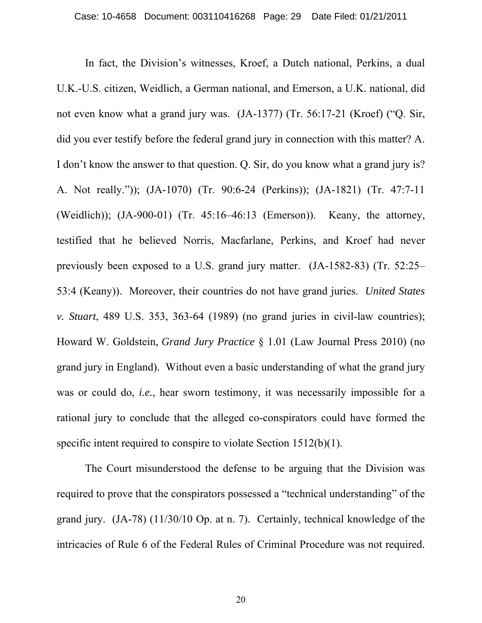In fact, the Division's witnesses, Kroef, a Dutch national, Perkins, a dual U.K.-U.S. citizen, Weidlich, a German national, and Emerson, a U.K. national, did not even know what a grand jury was. (JA-1377) (Tr. 56:17-21 (Kroef) ("Q. Sir, did you ever testify before the federal grand jury in connection with this matter? A. I don't know the answer to that question. Q. Sir, do you know what a grand jury is? A. Not really.")); (JA-1070) (Tr. 90:6-24 (Perkins)); (JA-1821) (Tr. 47:7-11 (Weidlich)); (JA-900-01) (Tr. 45:16–46:13 (Emerson)). Keany, the attorney, testified that he believed Norris, Macfarlane, Perkins, and Kroef had never previously been exposed to a U.S. grand jury matter. (JA-1582-83) (Tr. 52:25– 53:4 (Keany)). Moreover, their countries do not have grand juries. *United States v. Stuart*, 489 U.S. 353, 363-64 (1989) (no grand juries in civil-law countries); Howard W. Goldstein, *Grand Jury Practice* § 1.01 (Law Journal Press 2010) (no grand jury in England). Without even a basic understanding of what the grand jury was or could do, *i.e.*, hear sworn testimony, it was necessarily impossible for a rational jury to conclude that the alleged co-conspirators could have formed the specific intent required to conspire to violate Section 1512(b)(1).

 The Court misunderstood the defense to be arguing that the Division was required to prove that the conspirators possessed a "technical understanding" of the grand jury. (JA-78) (11/30/10 Op. at n. 7). Certainly, technical knowledge of the intricacies of Rule 6 of the Federal Rules of Criminal Procedure was not required.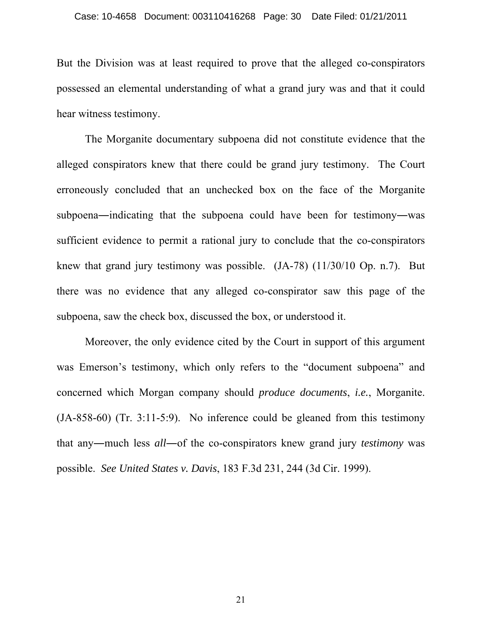But the Division was at least required to prove that the alleged co-conspirators possessed an elemental understanding of what a grand jury was and that it could hear witness testimony.

 The Morganite documentary subpoena did not constitute evidence that the alleged conspirators knew that there could be grand jury testimony. The Court erroneously concluded that an unchecked box on the face of the Morganite subpoena―indicating that the subpoena could have been for testimony―was sufficient evidence to permit a rational jury to conclude that the co-conspirators knew that grand jury testimony was possible. (JA-78) (11/30/10 Op. n.7). But there was no evidence that any alleged co-conspirator saw this page of the subpoena, saw the check box, discussed the box, or understood it.

 Moreover, the only evidence cited by the Court in support of this argument was Emerson's testimony, which only refers to the "document subpoena" and concerned which Morgan company should *produce documents*, *i.e.*, Morganite. (JA-858-60) (Tr. 3:11-5:9). No inference could be gleaned from this testimony that any―much less *all*―of the co-conspirators knew grand jury *testimony* was possible. *See United States v. Davis*, 183 F.3d 231, 244 (3d Cir. 1999).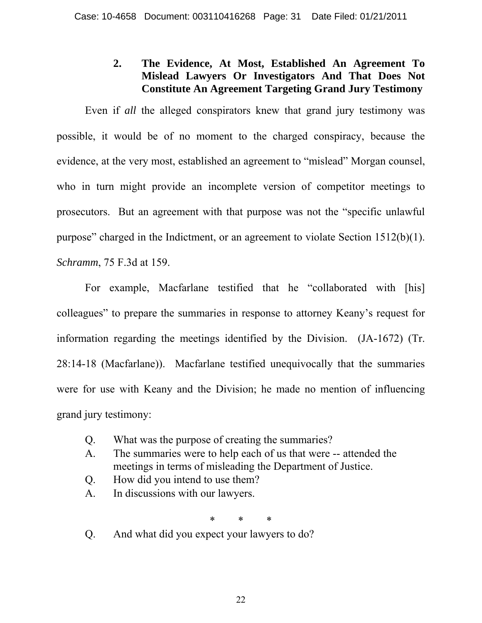# **2. The Evidence, At Most, Established An Agreement To Mislead Lawyers Or Investigators And That Does Not Constitute An Agreement Targeting Grand Jury Testimony**

 Even if *all* the alleged conspirators knew that grand jury testimony was possible, it would be of no moment to the charged conspiracy, because the evidence, at the very most, established an agreement to "mislead" Morgan counsel, who in turn might provide an incomplete version of competitor meetings to prosecutors. But an agreement with that purpose was not the "specific unlawful purpose" charged in the Indictment, or an agreement to violate Section 1512(b)(1). *Schramm*, 75 F.3d at 159.

 For example, Macfarlane testified that he "collaborated with [his] colleagues" to prepare the summaries in response to attorney Keany's request for information regarding the meetings identified by the Division. (JA-1672) (Tr. 28:14-18 (Macfarlane)). Macfarlane testified unequivocally that the summaries were for use with Keany and the Division; he made no mention of influencing grand jury testimony:

- Q. What was the purpose of creating the summaries?
- A. The summaries were to help each of us that were -- attended the meetings in terms of misleading the Department of Justice.
- Q. How did you intend to use them?
- A. In discussions with our lawyers.

\* \* \*

Q. And what did you expect your lawyers to do?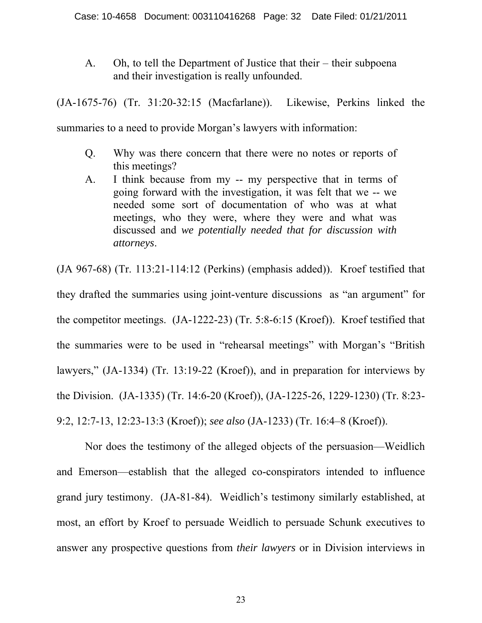A. Oh, to tell the Department of Justice that their – their subpoena and their investigation is really unfounded.

(JA-1675-76) (Tr. 31:20-32:15 (Macfarlane)). Likewise, Perkins linked the

summaries to a need to provide Morgan's lawyers with information:

- Q. Why was there concern that there were no notes or reports of this meetings?
- A. I think because from my -- my perspective that in terms of going forward with the investigation, it was felt that we -- we needed some sort of documentation of who was at what meetings, who they were, where they were and what was discussed and *we potentially needed that for discussion with attorneys*.

(JA 967-68) (Tr. 113:21-114:12 (Perkins) (emphasis added)). Kroef testified that they drafted the summaries using joint-venture discussions as "an argument" for the competitor meetings. (JA-1222-23) (Tr. 5:8-6:15 (Kroef)). Kroef testified that the summaries were to be used in "rehearsal meetings" with Morgan's "British lawyers," (JA-1334) (Tr. 13:19-22 (Kroef)), and in preparation for interviews by the Division. (JA-1335) (Tr. 14:6-20 (Kroef)), (JA-1225-26, 1229-1230) (Tr. 8:23- 9:2, 12:7-13, 12:23-13:3 (Kroef)); *see also* (JA-1233) (Tr. 16:4–8 (Kroef)).

 Nor does the testimony of the alleged objects of the persuasion—Weidlich and Emerson—establish that the alleged co-conspirators intended to influence grand jury testimony. (JA-81-84). Weidlich's testimony similarly established, at most, an effort by Kroef to persuade Weidlich to persuade Schunk executives to answer any prospective questions from *their lawyers* or in Division interviews in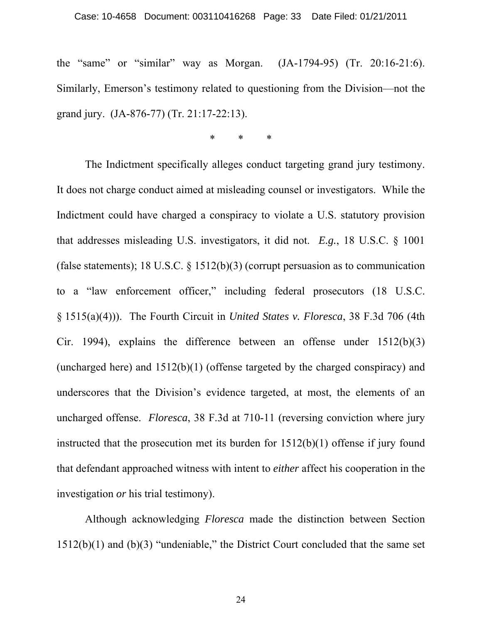#### Case: 10-4658 Document: 003110416268 Page: 33 Date Filed: 01/21/2011

the "same" or "similar" way as Morgan. (JA-1794-95) (Tr. 20:16-21:6). Similarly, Emerson's testimony related to questioning from the Division—not the grand jury. (JA-876-77) (Tr. 21:17-22:13).

\* \* \*

 The Indictment specifically alleges conduct targeting grand jury testimony. It does not charge conduct aimed at misleading counsel or investigators. While the Indictment could have charged a conspiracy to violate a U.S. statutory provision that addresses misleading U.S. investigators, it did not. *E.g.*, 18 U.S.C. § 1001 (false statements); 18 U.S.C. § 1512(b)(3) (corrupt persuasion as to communication to a "law enforcement officer," including federal prosecutors (18 U.S.C. § 1515(a)(4))). The Fourth Circuit in *United States v. Floresca*, 38 F.3d 706 (4th Cir. 1994), explains the difference between an offense under 1512(b)(3) (uncharged here) and 1512(b)(1) (offense targeted by the charged conspiracy) and underscores that the Division's evidence targeted, at most, the elements of an uncharged offense. *Floresca*, 38 F.3d at 710-11 (reversing conviction where jury instructed that the prosecution met its burden for 1512(b)(1) offense if jury found that defendant approached witness with intent to *either* affect his cooperation in the investigation *or* his trial testimony).

 Although acknowledging *Floresca* made the distinction between Section  $1512(b)(1)$  and  $(b)(3)$  "undeniable," the District Court concluded that the same set

24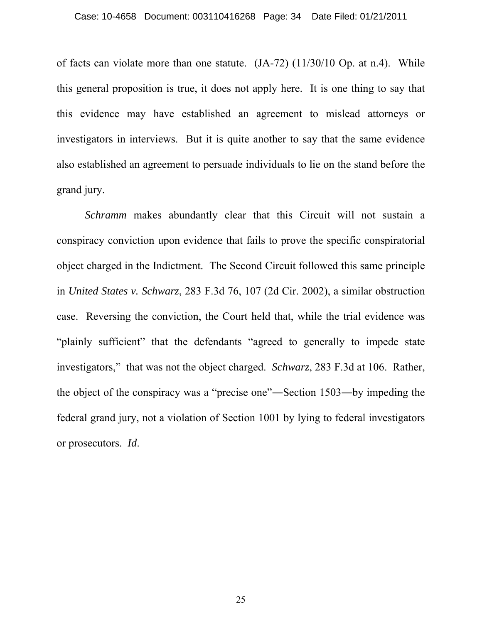of facts can violate more than one statute. (JA-72) (11/30/10 Op. at n.4). While this general proposition is true, it does not apply here. It is one thing to say that this evidence may have established an agreement to mislead attorneys or investigators in interviews. But it is quite another to say that the same evidence also established an agreement to persuade individuals to lie on the stand before the grand jury.

*Schramm* makes abundantly clear that this Circuit will not sustain a conspiracy conviction upon evidence that fails to prove the specific conspiratorial object charged in the Indictment. The Second Circuit followed this same principle in *United States v. Schwarz*, 283 F.3d 76, 107 (2d Cir. 2002), a similar obstruction case. Reversing the conviction, the Court held that, while the trial evidence was "plainly sufficient" that the defendants "agreed to generally to impede state investigators," that was not the object charged. *Schwarz*, 283 F.3d at 106. Rather, the object of the conspiracy was a "precise one"―Section 1503―by impeding the federal grand jury, not a violation of Section 1001 by lying to federal investigators or prosecutors. *Id*.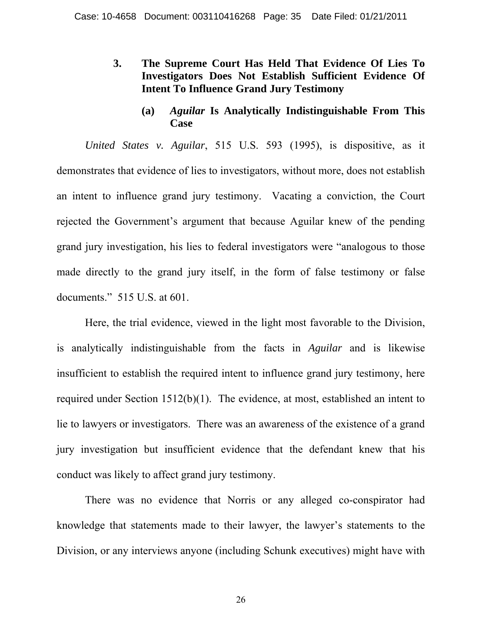# **3. The Supreme Court Has Held That Evidence Of Lies To Investigators Does Not Establish Sufficient Evidence Of Intent To Influence Grand Jury Testimony**

# **(a)** *Aguilar* **Is Analytically Indistinguishable From This Case**

*United States v. Aguilar*, 515 U.S. 593 (1995), is dispositive, as it demonstrates that evidence of lies to investigators, without more, does not establish an intent to influence grand jury testimony. Vacating a conviction, the Court rejected the Government's argument that because Aguilar knew of the pending grand jury investigation, his lies to federal investigators were "analogous to those made directly to the grand jury itself, in the form of false testimony or false documents." 515 U.S. at 601.

 Here, the trial evidence, viewed in the light most favorable to the Division, is analytically indistinguishable from the facts in *Aguilar* and is likewise insufficient to establish the required intent to influence grand jury testimony, here required under Section 1512(b)(1). The evidence, at most, established an intent to lie to lawyers or investigators. There was an awareness of the existence of a grand jury investigation but insufficient evidence that the defendant knew that his conduct was likely to affect grand jury testimony.

 There was no evidence that Norris or any alleged co-conspirator had knowledge that statements made to their lawyer, the lawyer's statements to the Division, or any interviews anyone (including Schunk executives) might have with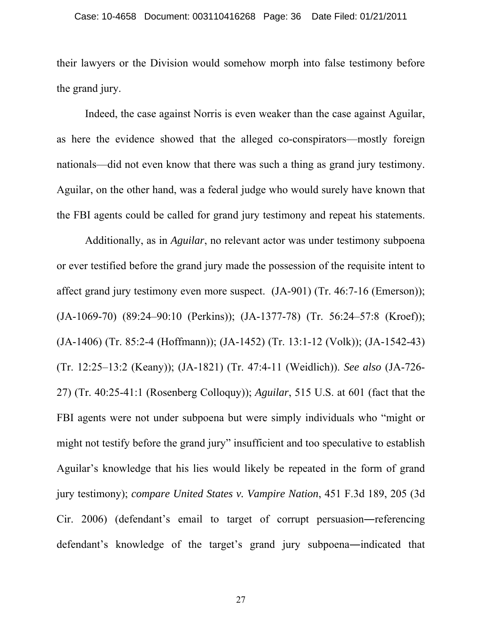their lawyers or the Division would somehow morph into false testimony before the grand jury.

 Indeed, the case against Norris is even weaker than the case against Aguilar, as here the evidence showed that the alleged co-conspirators—mostly foreign nationals—did not even know that there was such a thing as grand jury testimony. Aguilar, on the other hand, was a federal judge who would surely have known that the FBI agents could be called for grand jury testimony and repeat his statements.

 Additionally, as in *Aguilar*, no relevant actor was under testimony subpoena or ever testified before the grand jury made the possession of the requisite intent to affect grand jury testimony even more suspect. (JA-901) (Tr. 46:7-16 (Emerson)); (JA-1069-70) (89:24–90:10 (Perkins)); (JA-1377-78) (Tr. 56:24–57:8 (Kroef)); (JA-1406) (Tr. 85:2-4 (Hoffmann)); (JA-1452) (Tr. 13:1-12 (Volk)); (JA-1542-43) (Tr. 12:25–13:2 (Keany)); (JA-1821) (Tr. 47:4-11 (Weidlich)). *See also* (JA-726- 27) (Tr. 40:25-41:1 (Rosenberg Colloquy)); *Aguilar*, 515 U.S. at 601 (fact that the FBI agents were not under subpoena but were simply individuals who "might or might not testify before the grand jury" insufficient and too speculative to establish Aguilar's knowledge that his lies would likely be repeated in the form of grand jury testimony); *compare United States v. Vampire Nation*, 451 F.3d 189, 205 (3d Cir. 2006) (defendant's email to target of corrupt persuasion―referencing defendant's knowledge of the target's grand jury subpoena―indicated that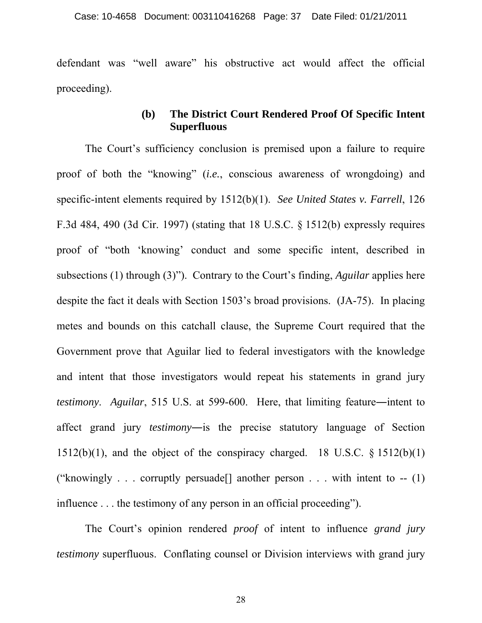defendant was "well aware" his obstructive act would affect the official proceeding).

# **(b) The District Court Rendered Proof Of Specific Intent Superfluous**

 The Court's sufficiency conclusion is premised upon a failure to require proof of both the "knowing" (*i.e.*, conscious awareness of wrongdoing) and specific-intent elements required by 1512(b)(1). *See United States v. Farrell*, 126 F.3d 484, 490 (3d Cir. 1997) (stating that 18 U.S.C. § 1512(b) expressly requires proof of "both 'knowing' conduct and some specific intent, described in subsections (1) through (3)"). Contrary to the Court's finding, *Aguilar* applies here despite the fact it deals with Section 1503's broad provisions. (JA-75). In placing metes and bounds on this catchall clause, the Supreme Court required that the Government prove that Aguilar lied to federal investigators with the knowledge and intent that those investigators would repeat his statements in grand jury *testimony*. *Aguilar*, 515 U.S. at 599-600. Here, that limiting feature―intent to affect grand jury *testimony*―is the precise statutory language of Section  $1512(b)(1)$ , and the object of the conspiracy charged. 18 U.S.C. § 1512(b)(1) ("knowingly . . . corruptly persuade[] another person . . . with intent to -- (1) influence . . . the testimony of any person in an official proceeding").

 The Court's opinion rendered *proof* of intent to influence *grand jury testimony* superfluous. Conflating counsel or Division interviews with grand jury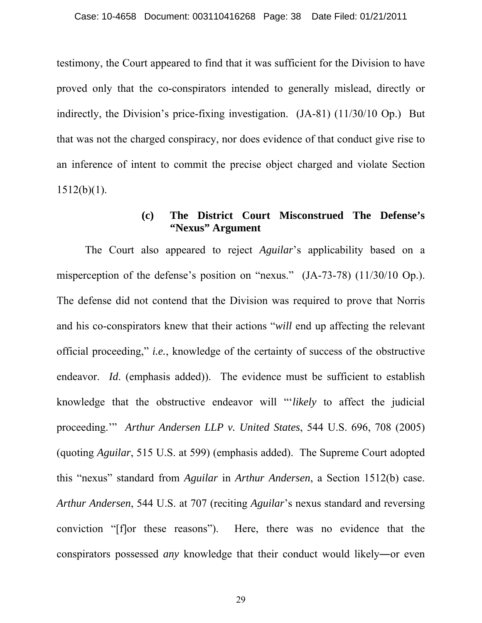testimony, the Court appeared to find that it was sufficient for the Division to have proved only that the co-conspirators intended to generally mislead, directly or indirectly, the Division's price-fixing investigation. (JA-81) (11/30/10 Op.) But that was not the charged conspiracy, nor does evidence of that conduct give rise to an inference of intent to commit the precise object charged and violate Section  $1512(b)(1)$ .

#### **(c) The District Court Misconstrued The Defense's "Nexus" Argument**

 The Court also appeared to reject *Aguilar*'s applicability based on a misperception of the defense's position on "nexus." (JA-73-78) (11/30/10 Op.). The defense did not contend that the Division was required to prove that Norris and his co-conspirators knew that their actions "*will* end up affecting the relevant official proceeding," *i.e.*, knowledge of the certainty of success of the obstructive endeavor. *Id.* (emphasis added)). The evidence must be sufficient to establish knowledge that the obstructive endeavor will "'*likely* to affect the judicial proceeding.'" *Arthur Andersen LLP v. United States*, 544 U.S. 696, 708 (2005) (quoting *Aguilar*, 515 U.S. at 599) (emphasis added). The Supreme Court adopted this "nexus" standard from *Aguilar* in *Arthur Andersen*, a Section 1512(b) case. *Arthur Andersen*, 544 U.S. at 707 (reciting *Aguilar*'s nexus standard and reversing conviction "[f]or these reasons"). Here, there was no evidence that the conspirators possessed *any* knowledge that their conduct would likely―or even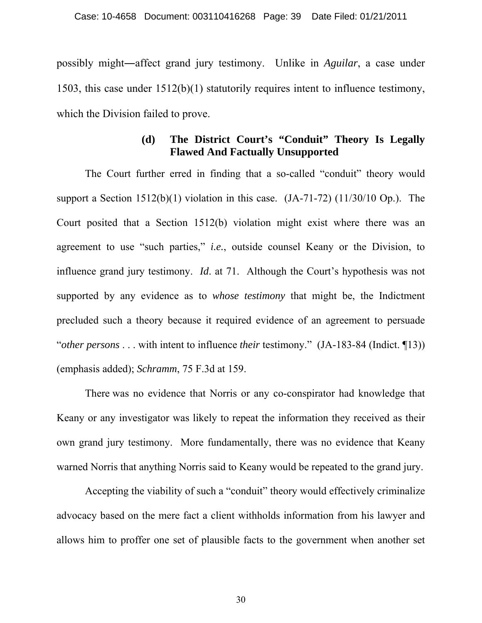possibly might―affect grand jury testimony. Unlike in *Aguilar*, a case under 1503, this case under 1512(b)(1) statutorily requires intent to influence testimony, which the Division failed to prove.

## **(d) The District Court's "Conduit" Theory Is Legally Flawed And Factually Unsupported**

 The Court further erred in finding that a so-called "conduit" theory would support a Section  $1512(b)(1)$  violation in this case.  $(JA-71-72)$   $(11/30/10 \text{ Op.})$ . The Court posited that a Section 1512(b) violation might exist where there was an agreement to use "such parties," *i.e.*, outside counsel Keany or the Division, to influence grand jury testimony. *Id*. at 71. Although the Court's hypothesis was not supported by any evidence as to *whose testimony* that might be, the Indictment precluded such a theory because it required evidence of an agreement to persuade "*other persons* . . . with intent to influence *their* testimony." (JA-183-84 (Indict. ¶13)) (emphasis added); *Schramm*, 75 F.3d at 159.

 There was no evidence that Norris or any co-conspirator had knowledge that Keany or any investigator was likely to repeat the information they received as their own grand jury testimony. More fundamentally, there was no evidence that Keany warned Norris that anything Norris said to Keany would be repeated to the grand jury.

 Accepting the viability of such a "conduit" theory would effectively criminalize advocacy based on the mere fact a client withholds information from his lawyer and allows him to proffer one set of plausible facts to the government when another set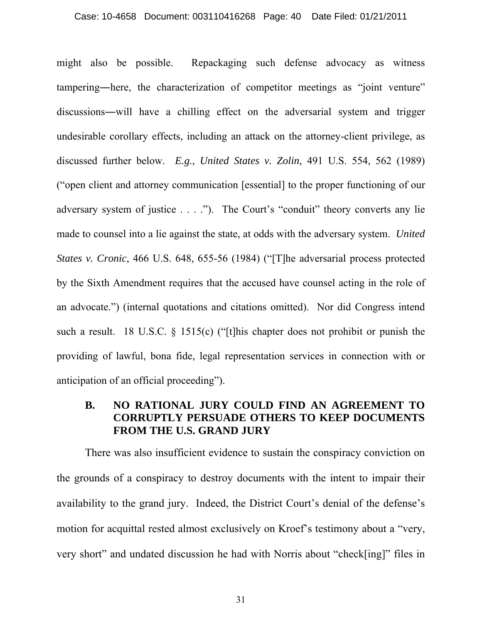#### Case: 10-4658 Document: 003110416268 Page: 40 Date Filed: 01/21/2011

might also be possible. Repackaging such defense advocacy as witness tampering―here, the characterization of competitor meetings as "joint venture" discussions―will have a chilling effect on the adversarial system and trigger undesirable corollary effects, including an attack on the attorney-client privilege, as discussed further below. *E.g.*, *United States v. Zolin*, 491 U.S. 554, 562 (1989) ("open client and attorney communication [essential] to the proper functioning of our adversary system of justice . . . ."). The Court's "conduit" theory converts any lie made to counsel into a lie against the state, at odds with the adversary system. *United States v. Cronic*, 466 U.S. 648, 655-56 (1984) ("[T]he adversarial process protected by the Sixth Amendment requires that the accused have counsel acting in the role of an advocate.") (internal quotations and citations omitted). Nor did Congress intend such a result. 18 U.S.C. § 1515(c) ("[t]his chapter does not prohibit or punish the providing of lawful, bona fide, legal representation services in connection with or anticipation of an official proceeding").

### **B. NO RATIONAL JURY COULD FIND AN AGREEMENT TO CORRUPTLY PERSUADE OTHERS TO KEEP DOCUMENTS FROM THE U.S. GRAND JURY**

 There was also insufficient evidence to sustain the conspiracy conviction on the grounds of a conspiracy to destroy documents with the intent to impair their availability to the grand jury. Indeed, the District Court's denial of the defense's motion for acquittal rested almost exclusively on Kroef's testimony about a "very, very short" and undated discussion he had with Norris about "check[ing]" files in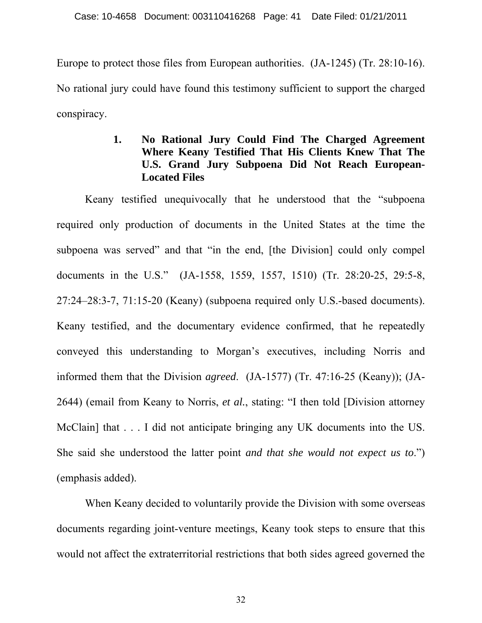Europe to protect those files from European authorities. (JA-1245) (Tr. 28:10-16). No rational jury could have found this testimony sufficient to support the charged conspiracy.

# **1. No Rational Jury Could Find The Charged Agreement Where Keany Testified That His Clients Knew That The U.S. Grand Jury Subpoena Did Not Reach European-Located Files**

 Keany testified unequivocally that he understood that the "subpoena required only production of documents in the United States at the time the subpoena was served" and that "in the end, [the Division] could only compel documents in the U.S." (JA-1558, 1559, 1557, 1510) (Tr. 28:20-25, 29:5-8, 27:24–28:3-7, 71:15-20 (Keany) (subpoena required only U.S.-based documents). Keany testified, and the documentary evidence confirmed, that he repeatedly conveyed this understanding to Morgan's executives, including Norris and informed them that the Division *agreed*. (JA-1577) (Tr. 47:16-25 (Keany)); (JA-2644) (email from Keany to Norris, *et al.*, stating: "I then told [Division attorney McClain] that . . . I did not anticipate bringing any UK documents into the US. She said she understood the latter point *and that she would not expect us to*.") (emphasis added).

 When Keany decided to voluntarily provide the Division with some overseas documents regarding joint-venture meetings, Keany took steps to ensure that this would not affect the extraterritorial restrictions that both sides agreed governed the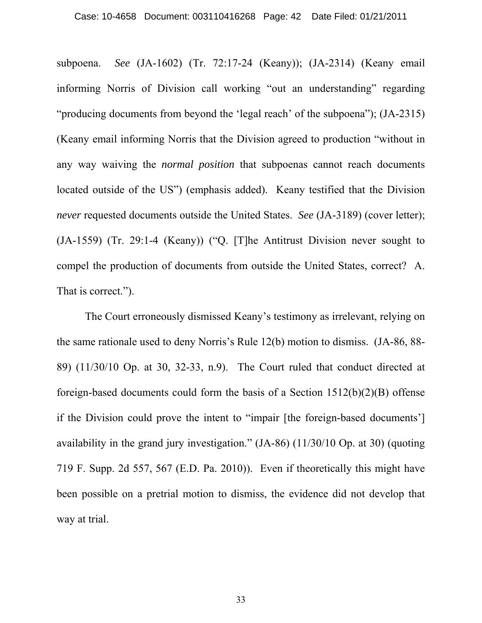subpoena. *See* (JA-1602) (Tr. 72:17-24 (Keany)); (JA-2314) (Keany email informing Norris of Division call working "out an understanding" regarding "producing documents from beyond the 'legal reach' of the subpoena"); (JA-2315) (Keany email informing Norris that the Division agreed to production "without in any way waiving the *normal position* that subpoenas cannot reach documents located outside of the US") (emphasis added). Keany testified that the Division *never* requested documents outside the United States. *See* (JA-3189) (cover letter); (JA-1559) (Tr. 29:1-4 (Keany)) ("Q. [T]he Antitrust Division never sought to compel the production of documents from outside the United States, correct? A. That is correct.").

 The Court erroneously dismissed Keany's testimony as irrelevant, relying on the same rationale used to deny Norris's Rule 12(b) motion to dismiss. (JA-86, 88- 89) (11/30/10 Op. at 30, 32-33, n.9). The Court ruled that conduct directed at foreign-based documents could form the basis of a Section 1512(b)(2)(B) offense if the Division could prove the intent to "impair [the foreign-based documents'] availability in the grand jury investigation." (JA-86) (11/30/10 Op. at 30) (quoting 719 F. Supp. 2d 557, 567 (E.D. Pa. 2010)). Even if theoretically this might have been possible on a pretrial motion to dismiss, the evidence did not develop that way at trial.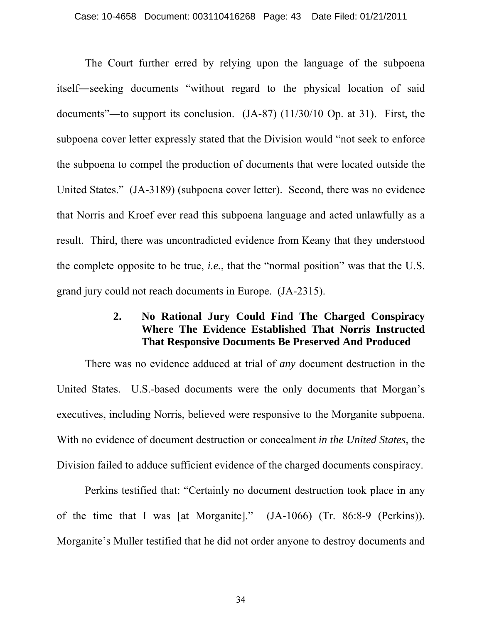The Court further erred by relying upon the language of the subpoena itself―seeking documents "without regard to the physical location of said documents"―to support its conclusion. (JA-87) (11/30/10 Op. at 31). First, the subpoena cover letter expressly stated that the Division would "not seek to enforce the subpoena to compel the production of documents that were located outside the United States." (JA-3189) (subpoena cover letter). Second, there was no evidence that Norris and Kroef ever read this subpoena language and acted unlawfully as a result. Third, there was uncontradicted evidence from Keany that they understood the complete opposite to be true, *i.e.*, that the "normal position" was that the U.S. grand jury could not reach documents in Europe. (JA-2315).

# **2. No Rational Jury Could Find The Charged Conspiracy Where The Evidence Established That Norris Instructed That Responsive Documents Be Preserved And Produced**

There was no evidence adduced at trial of *any* document destruction in the United States. U.S.-based documents were the only documents that Morgan's executives, including Norris, believed were responsive to the Morganite subpoena. With no evidence of document destruction or concealment *in the United States*, the Division failed to adduce sufficient evidence of the charged documents conspiracy.

Perkins testified that: "Certainly no document destruction took place in any of the time that I was [at Morganite]." (JA-1066) (Tr. 86:8-9 (Perkins)). Morganite's Muller testified that he did not order anyone to destroy documents and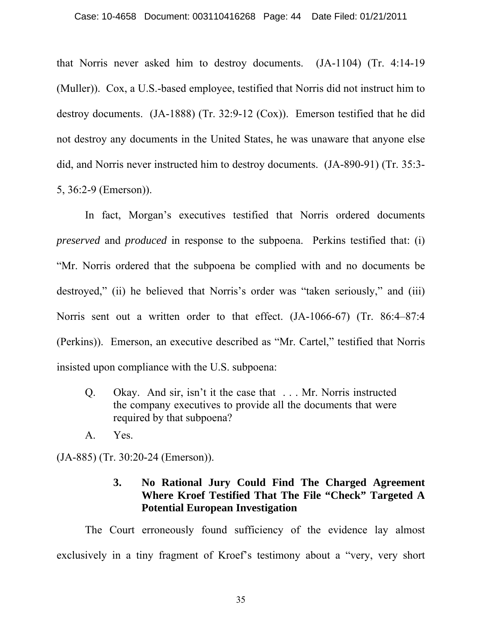that Norris never asked him to destroy documents. (JA-1104) (Tr. 4:14-19 (Muller)). Cox, a U.S.-based employee, testified that Norris did not instruct him to destroy documents. (JA-1888) (Tr. 32:9-12 (Cox)). Emerson testified that he did not destroy any documents in the United States, he was unaware that anyone else did, and Norris never instructed him to destroy documents. (JA-890-91) (Tr. 35:3- 5, 36:2-9 (Emerson)).

 In fact, Morgan's executives testified that Norris ordered documents *preserved* and *produced* in response to the subpoena. Perkins testified that: (i) "Mr. Norris ordered that the subpoena be complied with and no documents be destroyed," (ii) he believed that Norris's order was "taken seriously," and (iii) Norris sent out a written order to that effect. (JA-1066-67) (Tr. 86:4–87:4 (Perkins)). Emerson, an executive described as "Mr. Cartel," testified that Norris insisted upon compliance with the U.S. subpoena:

- Q. Okay. And sir, isn't it the case that . . . Mr. Norris instructed the company executives to provide all the documents that were required by that subpoena?
- A. Yes.

(JA-885) (Tr. 30:20-24 (Emerson)).

# **3. No Rational Jury Could Find The Charged Agreement Where Kroef Testified That The File "Check" Targeted A Potential European Investigation**

The Court erroneously found sufficiency of the evidence lay almost exclusively in a tiny fragment of Kroef's testimony about a "very, very short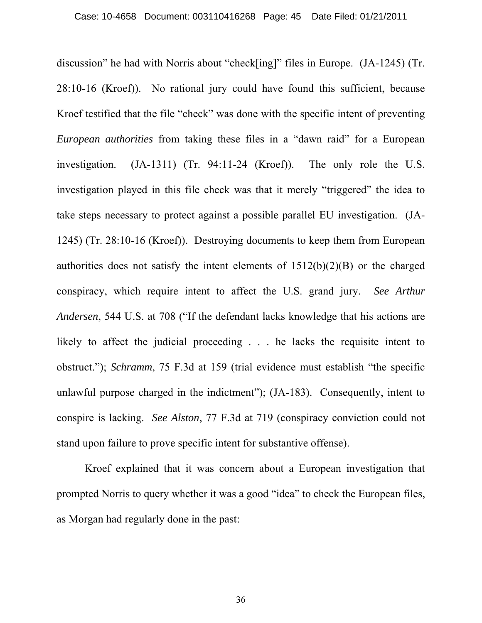discussion" he had with Norris about "check[ing]" files in Europe. (JA-1245) (Tr. 28:10-16 (Kroef)). No rational jury could have found this sufficient, because Kroef testified that the file "check" was done with the specific intent of preventing *European authorities* from taking these files in a "dawn raid" for a European investigation. (JA-1311) (Tr. 94:11-24 (Kroef)). The only role the U.S. investigation played in this file check was that it merely "triggered" the idea to take steps necessary to protect against a possible parallel EU investigation. (JA-1245) (Tr. 28:10-16 (Kroef)). Destroying documents to keep them from European authorities does not satisfy the intent elements of 1512(b)(2)(B) or the charged conspiracy, which require intent to affect the U.S. grand jury. *See Arthur Andersen*, 544 U.S. at 708 ("If the defendant lacks knowledge that his actions are likely to affect the judicial proceeding . . . he lacks the requisite intent to obstruct."); *Schramm*, 75 F.3d at 159 (trial evidence must establish "the specific unlawful purpose charged in the indictment"); (JA-183). Consequently, intent to conspire is lacking. *See Alston*, 77 F.3d at 719 (conspiracy conviction could not stand upon failure to prove specific intent for substantive offense).

 Kroef explained that it was concern about a European investigation that prompted Norris to query whether it was a good "idea" to check the European files, as Morgan had regularly done in the past: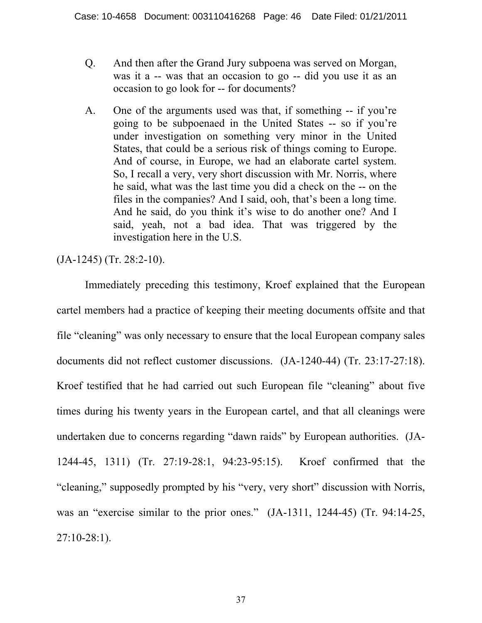- Q. And then after the Grand Jury subpoena was served on Morgan, was it a -- was that an occasion to go -- did you use it as an occasion to go look for -- for documents?
- A. One of the arguments used was that, if something -- if you're going to be subpoenaed in the United States -- so if you're under investigation on something very minor in the United States, that could be a serious risk of things coming to Europe. And of course, in Europe, we had an elaborate cartel system. So, I recall a very, very short discussion with Mr. Norris, where he said, what was the last time you did a check on the -- on the files in the companies? And I said, ooh, that's been a long time. And he said, do you think it's wise to do another one? And I said, yeah, not a bad idea. That was triggered by the investigation here in the U.S.

(JA-1245) (Tr. 28:2-10).

 Immediately preceding this testimony, Kroef explained that the European cartel members had a practice of keeping their meeting documents offsite and that file "cleaning" was only necessary to ensure that the local European company sales documents did not reflect customer discussions. (JA-1240-44) (Tr. 23:17-27:18). Kroef testified that he had carried out such European file "cleaning" about five times during his twenty years in the European cartel, and that all cleanings were undertaken due to concerns regarding "dawn raids" by European authorities. (JA-1244-45, 1311) (Tr. 27:19-28:1, 94:23-95:15). Kroef confirmed that the "cleaning," supposedly prompted by his "very, very short" discussion with Norris, was an "exercise similar to the prior ones." (JA-1311, 1244-45) (Tr. 94:14-25, 27:10-28:1).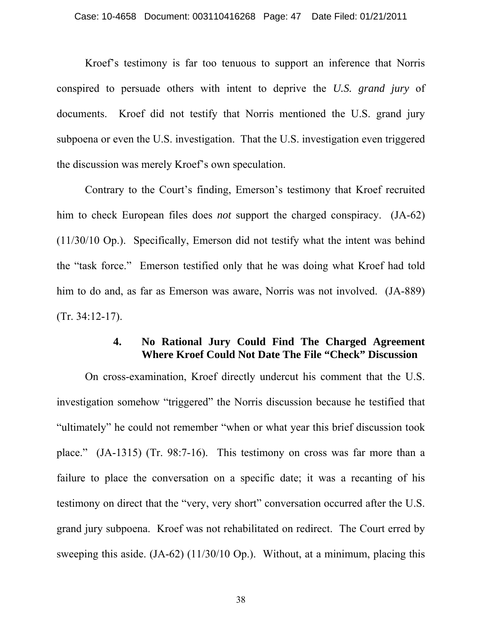Kroef's testimony is far too tenuous to support an inference that Norris conspired to persuade others with intent to deprive the *U.S. grand jury* of documents. Kroef did not testify that Norris mentioned the U.S. grand jury subpoena or even the U.S. investigation. That the U.S. investigation even triggered the discussion was merely Kroef's own speculation.

 Contrary to the Court's finding, Emerson's testimony that Kroef recruited him to check European files does *not* support the charged conspiracy. (JA-62) (11/30/10 Op.). Specifically, Emerson did not testify what the intent was behind the "task force." Emerson testified only that he was doing what Kroef had told him to do and, as far as Emerson was aware, Norris was not involved. (JA-889) (Tr. 34:12-17).

### **4. No Rational Jury Could Find The Charged Agreement Where Kroef Could Not Date The File "Check" Discussion**

On cross-examination, Kroef directly undercut his comment that the U.S. investigation somehow "triggered" the Norris discussion because he testified that "ultimately" he could not remember "when or what year this brief discussion took place." (JA-1315) (Tr. 98:7-16). This testimony on cross was far more than a failure to place the conversation on a specific date; it was a recanting of his testimony on direct that the "very, very short" conversation occurred after the U.S. grand jury subpoena. Kroef was not rehabilitated on redirect. The Court erred by sweeping this aside. (JA-62) (11/30/10 Op.). Without, at a minimum, placing this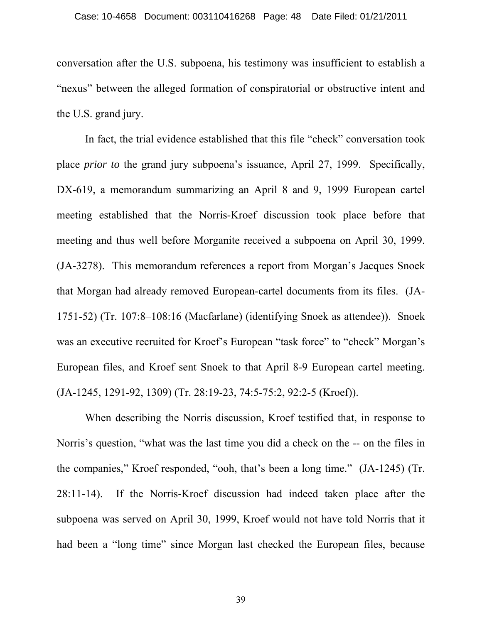conversation after the U.S. subpoena, his testimony was insufficient to establish a "nexus" between the alleged formation of conspiratorial or obstructive intent and the U.S. grand jury.

 In fact, the trial evidence established that this file "check" conversation took place *prior to* the grand jury subpoena's issuance, April 27, 1999. Specifically, DX-619, a memorandum summarizing an April 8 and 9, 1999 European cartel meeting established that the Norris-Kroef discussion took place before that meeting and thus well before Morganite received a subpoena on April 30, 1999. (JA-3278). This memorandum references a report from Morgan's Jacques Snoek that Morgan had already removed European-cartel documents from its files. (JA-1751-52) (Tr. 107:8–108:16 (Macfarlane) (identifying Snoek as attendee)). Snoek was an executive recruited for Kroef's European "task force" to "check" Morgan's European files, and Kroef sent Snoek to that April 8-9 European cartel meeting. (JA-1245, 1291-92, 1309) (Tr. 28:19-23, 74:5-75:2, 92:2-5 (Kroef)).

 When describing the Norris discussion, Kroef testified that, in response to Norris's question, "what was the last time you did a check on the -- on the files in the companies," Kroef responded, "ooh, that's been a long time." (JA-1245) (Tr. 28:11-14). If the Norris-Kroef discussion had indeed taken place after the subpoena was served on April 30, 1999, Kroef would not have told Norris that it had been a "long time" since Morgan last checked the European files, because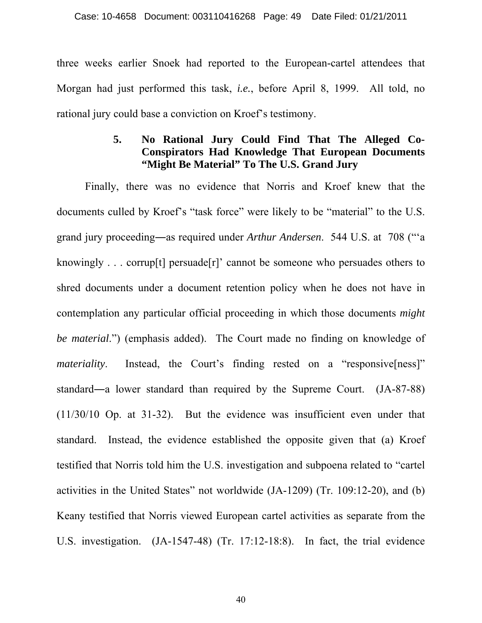three weeks earlier Snoek had reported to the European-cartel attendees that Morgan had just performed this task, *i.e.*, before April 8, 1999. All told, no rational jury could base a conviction on Kroef's testimony.

## **5. No Rational Jury Could Find That The Alleged Co-Conspirators Had Knowledge That European Documents "Might Be Material" To The U.S. Grand Jury**

 Finally, there was no evidence that Norris and Kroef knew that the documents culled by Kroef's "task force" were likely to be "material" to the U.S. grand jury proceeding―as required under *Arthur Andersen*. 544 U.S. at 708 ("'a knowingly . . . corrup[t] persuade[r]' cannot be someone who persuades others to shred documents under a document retention policy when he does not have in contemplation any particular official proceeding in which those documents *might be material*.") (emphasis added). The Court made no finding on knowledge of *materiality*. Instead, the Court's finding rested on a "responsive[ness]" standard―a lower standard than required by the Supreme Court. (JA-87-88) (11/30/10 Op. at 31-32). But the evidence was insufficient even under that standard. Instead, the evidence established the opposite given that (a) Kroef testified that Norris told him the U.S. investigation and subpoena related to "cartel activities in the United States" not worldwide (JA-1209) (Tr. 109:12-20), and (b) Keany testified that Norris viewed European cartel activities as separate from the U.S. investigation. (JA-1547-48) (Tr. 17:12-18:8). In fact, the trial evidence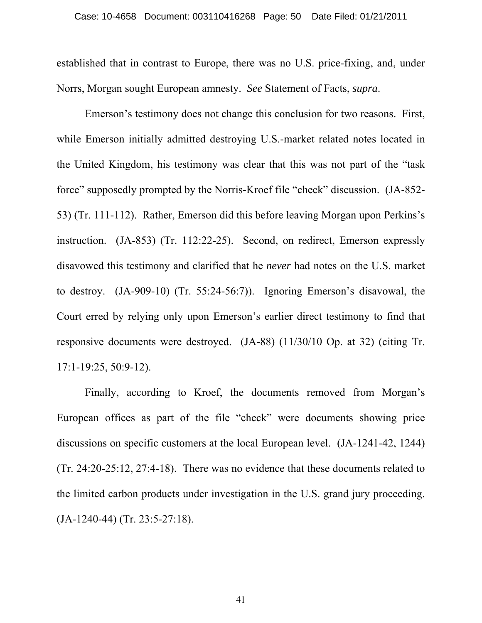established that in contrast to Europe, there was no U.S. price-fixing, and, under Norrs, Morgan sought European amnesty. *See* Statement of Facts, *supra*.

 Emerson's testimony does not change this conclusion for two reasons. First, while Emerson initially admitted destroying U.S.-market related notes located in the United Kingdom, his testimony was clear that this was not part of the "task force" supposedly prompted by the Norris-Kroef file "check" discussion. (JA-852- 53) (Tr. 111-112). Rather, Emerson did this before leaving Morgan upon Perkins's instruction. (JA-853) (Tr. 112:22-25). Second, on redirect, Emerson expressly disavowed this testimony and clarified that he *never* had notes on the U.S. market to destroy. (JA-909-10) (Tr. 55:24-56:7)). Ignoring Emerson's disavowal, the Court erred by relying only upon Emerson's earlier direct testimony to find that responsive documents were destroyed. (JA-88) (11/30/10 Op. at 32) (citing Tr. 17:1-19:25, 50:9-12).

 Finally, according to Kroef, the documents removed from Morgan's European offices as part of the file "check" were documents showing price discussions on specific customers at the local European level. (JA-1241-42, 1244) (Tr. 24:20-25:12, 27:4-18).There was no evidence that these documents related to the limited carbon products under investigation in the U.S. grand jury proceeding. (JA-1240-44) (Tr. 23:5-27:18).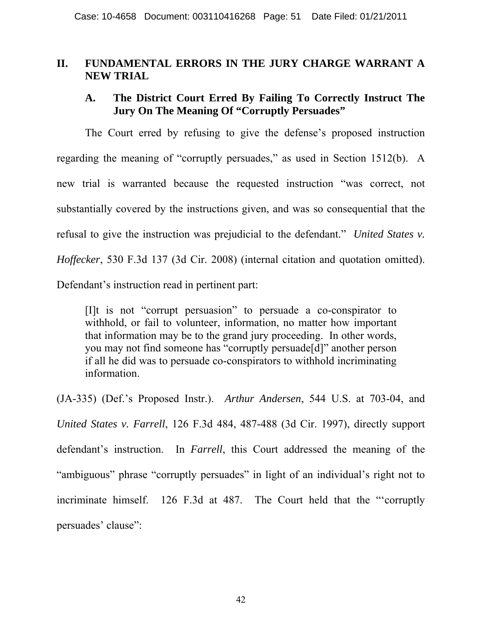## **II. FUNDAMENTAL ERRORS IN THE JURY CHARGE WARRANT A NEW TRIAL**

## **A. The District Court Erred By Failing To Correctly Instruct The Jury On The Meaning Of "Corruptly Persuades"**

 The Court erred by refusing to give the defense's proposed instruction regarding the meaning of "corruptly persuades," as used in Section 1512(b). A new trial is warranted because the requested instruction "was correct, not substantially covered by the instructions given, and was so consequential that the refusal to give the instruction was prejudicial to the defendant." *United States v. Hoffecker*, 530 F.3d 137 (3d Cir. 2008) (internal citation and quotation omitted). Defendant's instruction read in pertinent part:

[I]t is not "corrupt persuasion" to persuade a co-conspirator to withhold, or fail to volunteer, information, no matter how important that information may be to the grand jury proceeding. In other words, you may not find someone has "corruptly persuade[d]" another person if all he did was to persuade co-conspirators to withhold incriminating information.

(JA-335) (Def.'s Proposed Instr.). *Arthur Andersen*, 544 U.S. at 703-04, and *United States v. Farrell*, 126 F.3d 484, 487-488 (3d Cir. 1997), directly support defendant's instruction. In *Farrell*, this Court addressed the meaning of the "ambiguous" phrase "corruptly persuades" in light of an individual's right not to incriminate himself. 126 F.3d at 487. The Court held that the "'corruptly persuades' clause":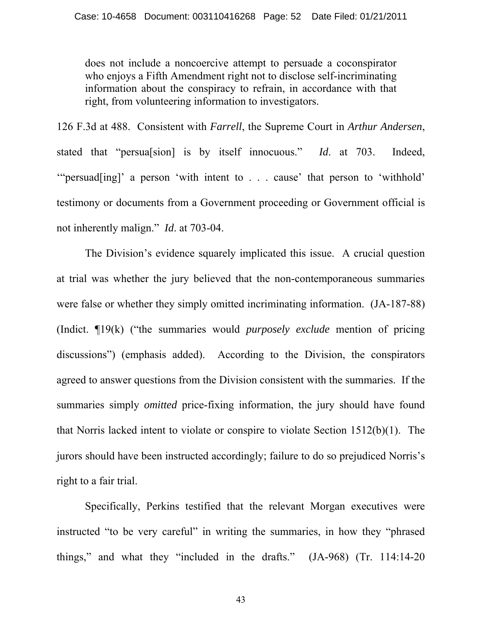does not include a noncoercive attempt to persuade a coconspirator who enjoys a Fifth Amendment right not to disclose self-incriminating information about the conspiracy to refrain, in accordance with that right, from volunteering information to investigators.

126 F.3d at 488. Consistent with *Farrell*, the Supreme Court in *Arthur Andersen*, stated that "persua[sion] is by itself innocuous." *Id*. at 703. Indeed, '"persuad[ing]' a person 'with intent to . . . cause' that person to 'withhold' testimony or documents from a Government proceeding or Government official is not inherently malign." *Id*. at 703-04.

The Division's evidence squarely implicated this issue. A crucial question at trial was whether the jury believed that the non-contemporaneous summaries were false or whether they simply omitted incriminating information. (JA-187-88) (Indict. ¶19(k) ("the summaries would *purposely exclude* mention of pricing discussions") (emphasis added). According to the Division, the conspirators agreed to answer questions from the Division consistent with the summaries. If the summaries simply *omitted* price-fixing information, the jury should have found that Norris lacked intent to violate or conspire to violate Section 1512(b)(1). The jurors should have been instructed accordingly; failure to do so prejudiced Norris's right to a fair trial.

 Specifically, Perkins testified that the relevant Morgan executives were instructed "to be very careful" in writing the summaries, in how they "phrased things," and what they "included in the drafts." (JA-968) (Tr. 114:14-20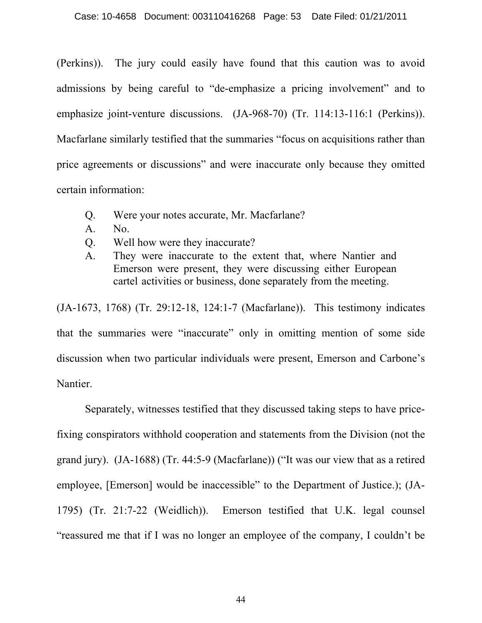(Perkins)). The jury could easily have found that this caution was to avoid admissions by being careful to "de-emphasize a pricing involvement" and to emphasize joint-venture discussions. (JA-968-70) (Tr. 114:13-116:1 (Perkins)). Macfarlane similarly testified that the summaries "focus on acquisitions rather than price agreements or discussions" and were inaccurate only because they omitted certain information:

- Q. Were your notes accurate, Mr. Macfarlane?
- A. No.
- Q. Well how were they inaccurate?
- A. They were inaccurate to the extent that, where Nantier and Emerson were present, they were discussing either European cartel activities or business, done separately from the meeting.

(JA-1673, 1768) (Tr. 29:12-18, 124:1-7 (Macfarlane)). This testimony indicates that the summaries were "inaccurate" only in omitting mention of some side discussion when two particular individuals were present, Emerson and Carbone's Nantier.

 Separately, witnesses testified that they discussed taking steps to have pricefixing conspirators withhold cooperation and statements from the Division (not the grand jury). (JA-1688) (Tr. 44:5-9 (Macfarlane)) ("It was our view that as a retired employee, [Emerson] would be inaccessible" to the Department of Justice.); (JA-1795) (Tr. 21:7-22 (Weidlich)). Emerson testified that U.K. legal counsel "reassured me that if I was no longer an employee of the company, I couldn't be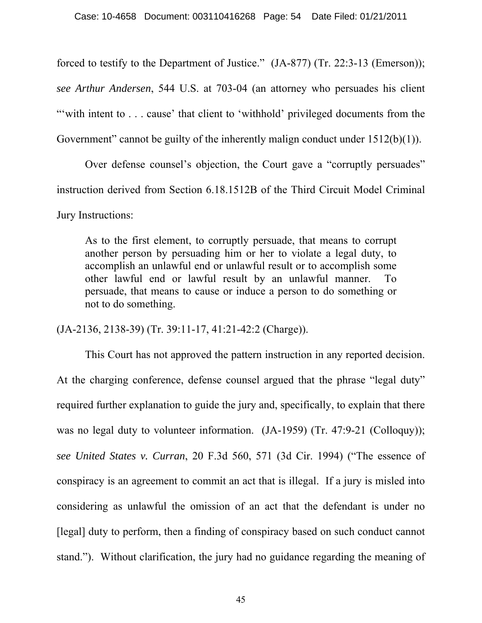forced to testify to the Department of Justice." (JA-877) (Tr. 22:3-13 (Emerson)); *see Arthur Andersen*, 544 U.S. at 703-04 (an attorney who persuades his client "with intent to . . . cause' that client to 'withhold' privileged documents from the Government" cannot be guilty of the inherently malign conduct under 1512(b)(1)).

 Over defense counsel's objection, the Court gave a "corruptly persuades" instruction derived from Section 6.18.1512B of the Third Circuit Model Criminal Jury Instructions:

As to the first element, to corruptly persuade, that means to corrupt another person by persuading him or her to violate a legal duty, to accomplish an unlawful end or unlawful result or to accomplish some other lawful end or lawful result by an unlawful manner. To persuade, that means to cause or induce a person to do something or not to do something.

(JA-2136, 2138-39) (Tr. 39:11-17, 41:21-42:2 (Charge)).

 This Court has not approved the pattern instruction in any reported decision. At the charging conference, defense counsel argued that the phrase "legal duty" required further explanation to guide the jury and, specifically, to explain that there was no legal duty to volunteer information. (JA-1959) (Tr. 47:9-21 (Colloquy)); *see United States v. Curran*, 20 F.3d 560, 571 (3d Cir. 1994) ("The essence of conspiracy is an agreement to commit an act that is illegal. If a jury is misled into considering as unlawful the omission of an act that the defendant is under no [legal] duty to perform, then a finding of conspiracy based on such conduct cannot stand."). Without clarification, the jury had no guidance regarding the meaning of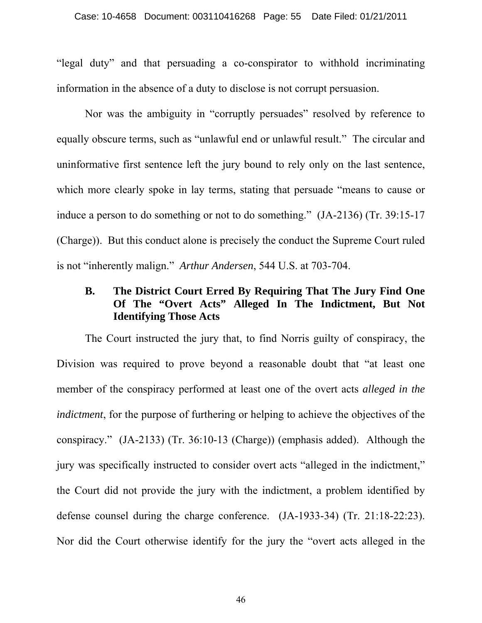"legal duty" and that persuading a co-conspirator to withhold incriminating information in the absence of a duty to disclose is not corrupt persuasion.

 Nor was the ambiguity in "corruptly persuades" resolved by reference to equally obscure terms, such as "unlawful end or unlawful result." The circular and uninformative first sentence left the jury bound to rely only on the last sentence, which more clearly spoke in lay terms, stating that persuade "means to cause or induce a person to do something or not to do something." (JA-2136) (Tr. 39:15-17 (Charge)). But this conduct alone is precisely the conduct the Supreme Court ruled is not "inherently malign." *Arthur Andersen*, 544 U.S. at 703-704.

## **B. The District Court Erred By Requiring That The Jury Find One Of The "Overt Acts" Alleged In The Indictment, But Not Identifying Those Acts**

 The Court instructed the jury that, to find Norris guilty of conspiracy, the Division was required to prove beyond a reasonable doubt that "at least one member of the conspiracy performed at least one of the overt acts *alleged in the indictment*, for the purpose of furthering or helping to achieve the objectives of the conspiracy." (JA-2133) (Tr. 36:10-13 (Charge)) (emphasis added). Although the jury was specifically instructed to consider overt acts "alleged in the indictment," the Court did not provide the jury with the indictment, a problem identified by defense counsel during the charge conference. (JA-1933-34) (Tr. 21:18-22:23). Nor did the Court otherwise identify for the jury the "overt acts alleged in the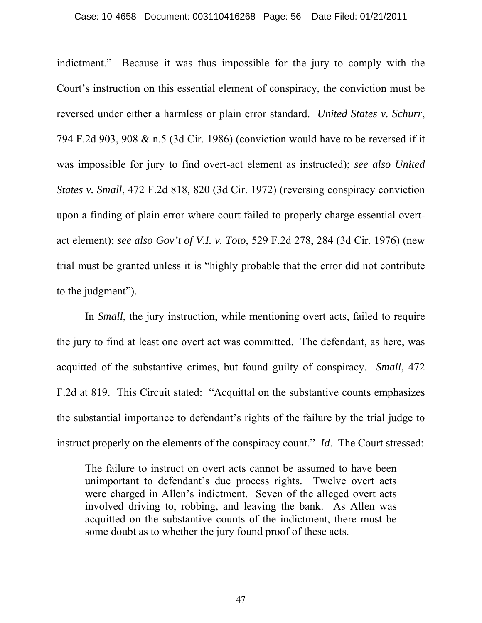#### Case: 10-4658 Document: 003110416268 Page: 56 Date Filed: 01/21/2011

indictment." Because it was thus impossible for the jury to comply with the Court's instruction on this essential element of conspiracy, the conviction must be reversed under either a harmless or plain error standard. *United States v. Schurr*, 794 F.2d 903, 908 & n.5 (3d Cir. 1986) (conviction would have to be reversed if it was impossible for jury to find overt-act element as instructed); *see also United States v. Small*, 472 F.2d 818, 820 (3d Cir. 1972) (reversing conspiracy conviction upon a finding of plain error where court failed to properly charge essential overtact element); *see also Gov't of V.I. v. Toto*, 529 F.2d 278, 284 (3d Cir. 1976) (new trial must be granted unless it is "highly probable that the error did not contribute to the judgment").

 In *Small*, the jury instruction, while mentioning overt acts, failed to require the jury to find at least one overt act was committed. The defendant, as here, was acquitted of the substantive crimes, but found guilty of conspiracy. *Small*, 472 F.2d at 819. This Circuit stated: "Acquittal on the substantive counts emphasizes the substantial importance to defendant's rights of the failure by the trial judge to instruct properly on the elements of the conspiracy count." *Id*. The Court stressed:

The failure to instruct on overt acts cannot be assumed to have been unimportant to defendant's due process rights. Twelve overt acts were charged in Allen's indictment. Seven of the alleged overt acts involved driving to, robbing, and leaving the bank. As Allen was acquitted on the substantive counts of the indictment, there must be some doubt as to whether the jury found proof of these acts.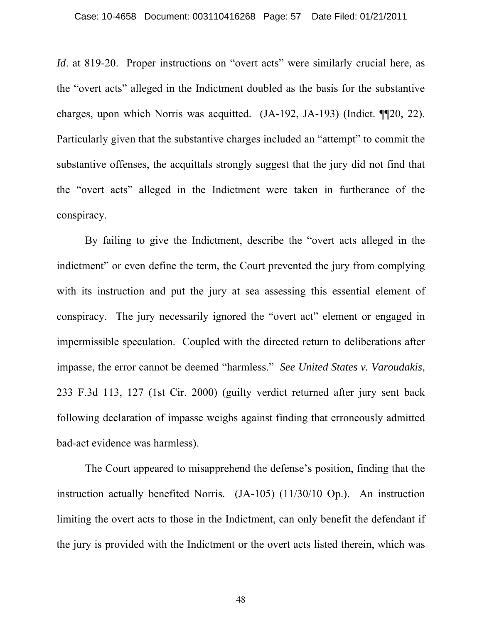*Id.* at 819-20. Proper instructions on "overt acts" were similarly crucial here, as the "overt acts" alleged in the Indictment doubled as the basis for the substantive charges, upon which Norris was acquitted. (JA-192, JA-193) (Indict. ¶¶20, 22). Particularly given that the substantive charges included an "attempt" to commit the substantive offenses, the acquittals strongly suggest that the jury did not find that the "overt acts" alleged in the Indictment were taken in furtherance of the conspiracy.

 By failing to give the Indictment, describe the "overt acts alleged in the indictment" or even define the term, the Court prevented the jury from complying with its instruction and put the jury at sea assessing this essential element of conspiracy. The jury necessarily ignored the "overt act" element or engaged in impermissible speculation. Coupled with the directed return to deliberations after impasse, the error cannot be deemed "harmless." *See United States v. Varoudakis*, 233 F.3d 113, 127 (1st Cir. 2000) (guilty verdict returned after jury sent back following declaration of impasse weighs against finding that erroneously admitted bad-act evidence was harmless).

 The Court appeared to misapprehend the defense's position, finding that the instruction actually benefited Norris. (JA-105) (11/30/10 Op.). An instruction limiting the overt acts to those in the Indictment, can only benefit the defendant if the jury is provided with the Indictment or the overt acts listed therein, which was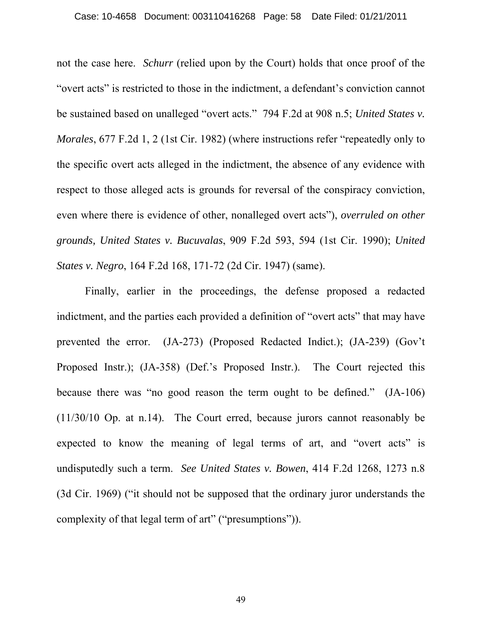not the case here. *Schurr* (relied upon by the Court) holds that once proof of the "overt acts" is restricted to those in the indictment, a defendant's conviction cannot be sustained based on unalleged "overt acts." 794 F.2d at 908 n.5; *United States v. Morales*, 677 F.2d 1, 2 (1st Cir. 1982) (where instructions refer "repeatedly only to the specific overt acts alleged in the indictment, the absence of any evidence with respect to those alleged acts is grounds for reversal of the conspiracy conviction, even where there is evidence of other, nonalleged overt acts"), *overruled on other grounds, United States v. Bucuvalas*, 909 F.2d 593, 594 (1st Cir. 1990); *United States v. Negro*, 164 F.2d 168, 171-72 (2d Cir. 1947) (same).

 Finally, earlier in the proceedings, the defense proposed a redacted indictment, and the parties each provided a definition of "overt acts" that may have prevented the error. (JA-273) (Proposed Redacted Indict.); (JA-239) (Gov't Proposed Instr.); (JA-358) (Def.'s Proposed Instr.). The Court rejected this because there was "no good reason the term ought to be defined." (JA-106) (11/30/10 Op. at n.14). The Court erred, because jurors cannot reasonably be expected to know the meaning of legal terms of art, and "overt acts" is undisputedly such a term. *See United States v. Bowen*, 414 F.2d 1268, 1273 n.8 (3d Cir. 1969) ("it should not be supposed that the ordinary juror understands the complexity of that legal term of art" ("presumptions")).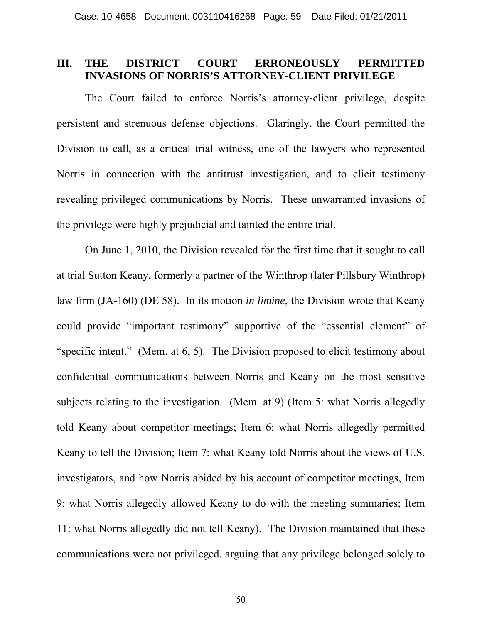### **III. THE DISTRICT COURT ERRONEOUSLY PERMITTED INVASIONS OF NORRIS'S ATTORNEY-CLIENT PRIVILEGE**

The Court failed to enforce Norris's attorney-client privilege, despite persistent and strenuous defense objections. Glaringly, the Court permitted the Division to call, as a critical trial witness, one of the lawyers who represented Norris in connection with the antitrust investigation, and to elicit testimony revealing privileged communications by Norris. These unwarranted invasions of the privilege were highly prejudicial and tainted the entire trial.

On June 1, 2010, the Division revealed for the first time that it sought to call at trial Sutton Keany, formerly a partner of the Winthrop (later Pillsbury Winthrop) law firm (JA-160) (DE 58). In its motion *in limine*, the Division wrote that Keany could provide "important testimony" supportive of the "essential element" of "specific intent." (Mem. at 6, 5). The Division proposed to elicit testimony about confidential communications between Norris and Keany on the most sensitive subjects relating to the investigation. (Mem. at 9) (Item 5: what Norris allegedly told Keany about competitor meetings; Item 6: what Norris allegedly permitted Keany to tell the Division; Item 7: what Keany told Norris about the views of U.S. investigators, and how Norris abided by his account of competitor meetings, Item 9: what Norris allegedly allowed Keany to do with the meeting summaries; Item 11: what Norris allegedly did not tell Keany). The Division maintained that these communications were not privileged, arguing that any privilege belonged solely to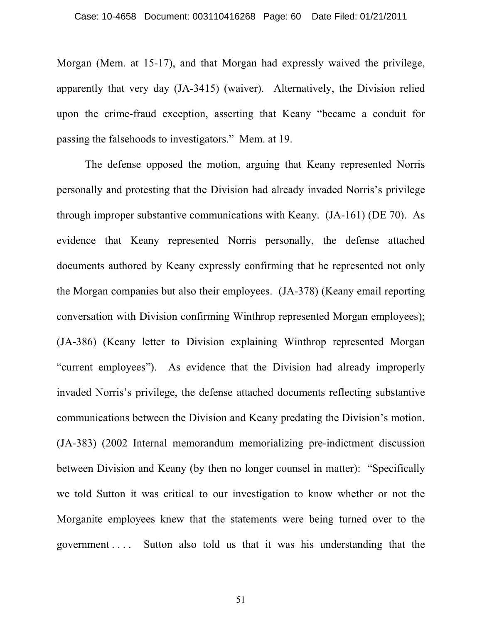Morgan (Mem. at 15-17), and that Morgan had expressly waived the privilege, apparently that very day (JA-3415) (waiver). Alternatively, the Division relied upon the crime-fraud exception, asserting that Keany "became a conduit for passing the falsehoods to investigators." Mem. at 19.

The defense opposed the motion, arguing that Keany represented Norris personally and protesting that the Division had already invaded Norris's privilege through improper substantive communications with Keany. (JA-161) (DE 70). As evidence that Keany represented Norris personally, the defense attached documents authored by Keany expressly confirming that he represented not only the Morgan companies but also their employees. (JA-378) (Keany email reporting conversation with Division confirming Winthrop represented Morgan employees); (JA-386) (Keany letter to Division explaining Winthrop represented Morgan "current employees"). As evidence that the Division had already improperly invaded Norris's privilege, the defense attached documents reflecting substantive communications between the Division and Keany predating the Division's motion. (JA-383) (2002 Internal memorandum memorializing pre-indictment discussion between Division and Keany (by then no longer counsel in matter): "Specifically we told Sutton it was critical to our investigation to know whether or not the Morganite employees knew that the statements were being turned over to the government . . . . Sutton also told us that it was his understanding that the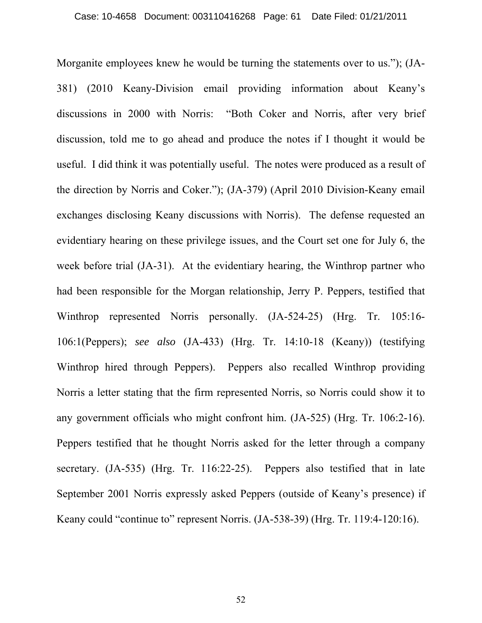Morganite employees knew he would be turning the statements over to us."); (JA-381) (2010 Keany-Division email providing information about Keany's discussions in 2000 with Norris: "Both Coker and Norris, after very brief discussion, told me to go ahead and produce the notes if I thought it would be useful. I did think it was potentially useful. The notes were produced as a result of the direction by Norris and Coker."); (JA-379) (April 2010 Division-Keany email exchanges disclosing Keany discussions with Norris). The defense requested an evidentiary hearing on these privilege issues, and the Court set one for July 6, the week before trial (JA-31). At the evidentiary hearing, the Winthrop partner who had been responsible for the Morgan relationship, Jerry P. Peppers, testified that Winthrop represented Norris personally. (JA-524-25) (Hrg. Tr. 105:16- 106:1(Peppers); *see also* (JA-433) (Hrg. Tr. 14:10-18 (Keany)) (testifying Winthrop hired through Peppers). Peppers also recalled Winthrop providing Norris a letter stating that the firm represented Norris, so Norris could show it to any government officials who might confront him. (JA-525) (Hrg. Tr. 106:2-16). Peppers testified that he thought Norris asked for the letter through a company secretary. (JA-535) (Hrg. Tr. 116:22-25). Peppers also testified that in late September 2001 Norris expressly asked Peppers (outside of Keany's presence) if Keany could "continue to" represent Norris. (JA-538-39) (Hrg. Tr. 119:4-120:16).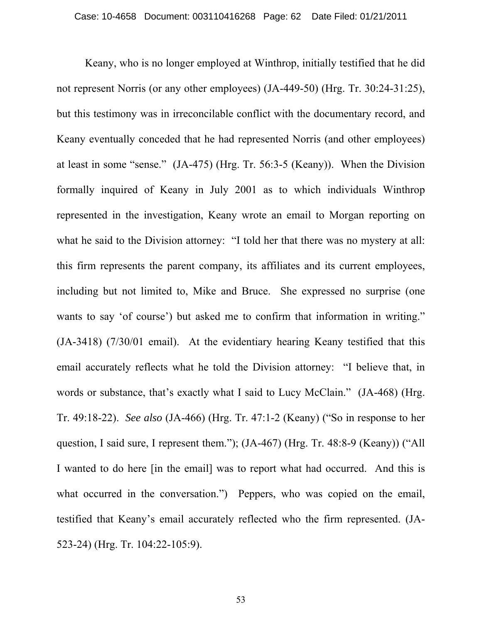Keany, who is no longer employed at Winthrop, initially testified that he did not represent Norris (or any other employees) (JA-449-50) (Hrg. Tr. 30:24-31:25), but this testimony was in irreconcilable conflict with the documentary record, and Keany eventually conceded that he had represented Norris (and other employees) at least in some "sense." (JA-475) (Hrg. Tr. 56:3-5 (Keany)). When the Division formally inquired of Keany in July 2001 as to which individuals Winthrop represented in the investigation, Keany wrote an email to Morgan reporting on what he said to the Division attorney: "I told her that there was no mystery at all: this firm represents the parent company, its affiliates and its current employees, including but not limited to, Mike and Bruce. She expressed no surprise (one wants to say 'of course') but asked me to confirm that information in writing." (JA-3418) (7/30/01 email). At the evidentiary hearing Keany testified that this email accurately reflects what he told the Division attorney: "I believe that, in words or substance, that's exactly what I said to Lucy McClain." (JA-468) (Hrg. Tr. 49:18-22). *See also* (JA-466) (Hrg. Tr. 47:1-2 (Keany) ("So in response to her question, I said sure, I represent them."); (JA-467) (Hrg. Tr. 48:8-9 (Keany)) ("All I wanted to do here [in the email] was to report what had occurred. And this is what occurred in the conversation.") Peppers, who was copied on the email, testified that Keany's email accurately reflected who the firm represented. (JA-523-24) (Hrg. Tr. 104:22-105:9).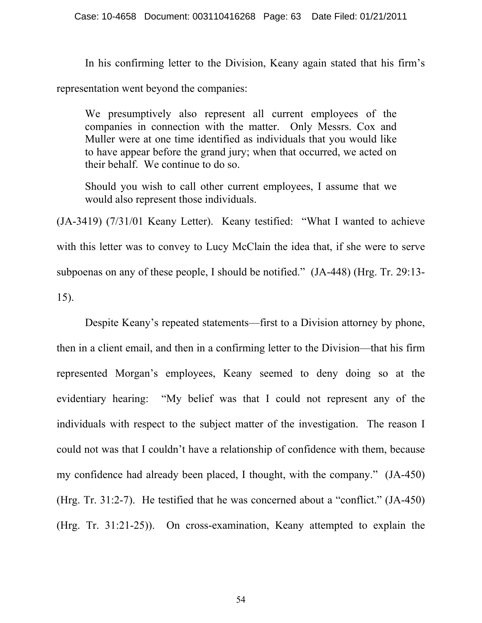In his confirming letter to the Division, Keany again stated that his firm's representation went beyond the companies:

We presumptively also represent all current employees of the companies in connection with the matter. Only Messrs. Cox and Muller were at one time identified as individuals that you would like to have appear before the grand jury; when that occurred, we acted on their behalf. We continue to do so.

Should you wish to call other current employees, I assume that we would also represent those individuals.

(JA-3419) (7/31/01 Keany Letter). Keany testified: "What I wanted to achieve with this letter was to convey to Lucy McClain the idea that, if she were to serve subpoenas on any of these people, I should be notified." (JA-448) (Hrg. Tr. 29:13- 15).

Despite Keany's repeated statements—first to a Division attorney by phone, then in a client email, and then in a confirming letter to the Division—that his firm represented Morgan's employees, Keany seemed to deny doing so at the evidentiary hearing: "My belief was that I could not represent any of the individuals with respect to the subject matter of the investigation. The reason I could not was that I couldn't have a relationship of confidence with them, because my confidence had already been placed, I thought, with the company." (JA-450) (Hrg. Tr. 31:2-7). He testified that he was concerned about a "conflict." (JA-450) (Hrg. Tr. 31:21-25)). On cross-examination, Keany attempted to explain the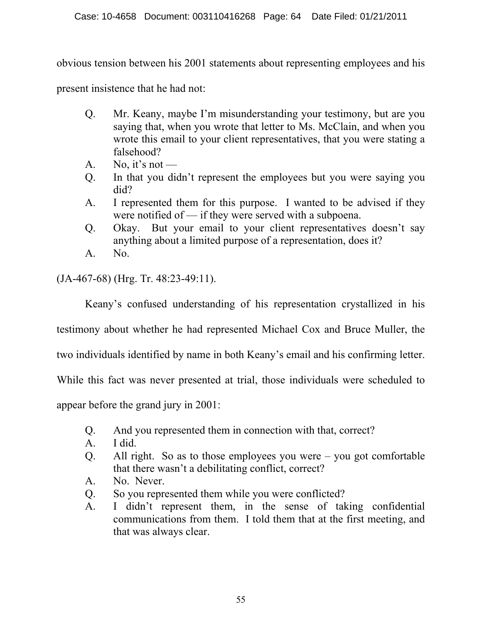obvious tension between his 2001 statements about representing employees and his

present insistence that he had not:

- Q. Mr. Keany, maybe I'm misunderstanding your testimony, but are you saying that, when you wrote that letter to Ms. McClain, and when you wrote this email to your client representatives, that you were stating a falsehood?
- A. No, it's not —
- Q. In that you didn't represent the employees but you were saying you did?
- A. I represented them for this purpose. I wanted to be advised if they were notified of — if they were served with a subpoena.
- Q. Okay. But your email to your client representatives doesn't say anything about a limited purpose of a representation, does it?
- A. No.

(JA-467-68) (Hrg. Tr. 48:23-49:11).

Keany's confused understanding of his representation crystallized in his

testimony about whether he had represented Michael Cox and Bruce Muller, the

two individuals identified by name in both Keany's email and his confirming letter.

While this fact was never presented at trial, those individuals were scheduled to

appear before the grand jury in 2001:

- Q. And you represented them in connection with that, correct?
- A. I did.
- Q. All right. So as to those employees you were you got comfortable that there wasn't a debilitating conflict, correct?
- A. No. Never.
- Q. So you represented them while you were conflicted?
- A. I didn't represent them, in the sense of taking confidential communications from them. I told them that at the first meeting, and that was always clear.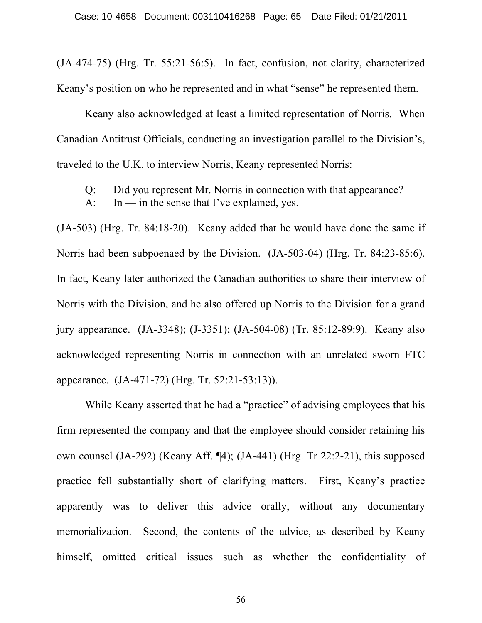(JA-474-75) (Hrg. Tr. 55:21-56:5). In fact, confusion, not clarity, characterized Keany's position on who he represented and in what "sense" he represented them.

Keany also acknowledged at least a limited representation of Norris. When Canadian Antitrust Officials, conducting an investigation parallel to the Division's, traveled to the U.K. to interview Norris, Keany represented Norris:

Q: Did you represent Mr. Norris in connection with that appearance?

A: In — in the sense that I've explained, yes.

(JA-503) (Hrg. Tr. 84:18-20). Keany added that he would have done the same if Norris had been subpoenaed by the Division. (JA-503-04) (Hrg. Tr. 84:23-85:6). In fact, Keany later authorized the Canadian authorities to share their interview of Norris with the Division, and he also offered up Norris to the Division for a grand jury appearance. (JA-3348); (J-3351); (JA-504-08) (Tr. 85:12-89:9). Keany also acknowledged representing Norris in connection with an unrelated sworn FTC appearance. (JA-471-72) (Hrg. Tr. 52:21-53:13)).

While Keany asserted that he had a "practice" of advising employees that his firm represented the company and that the employee should consider retaining his own counsel (JA-292) (Keany Aff. ¶4); (JA-441) (Hrg. Tr 22:2-21), this supposed practice fell substantially short of clarifying matters. First, Keany's practice apparently was to deliver this advice orally, without any documentary memorialization. Second, the contents of the advice, as described by Keany himself, omitted critical issues such as whether the confidentiality of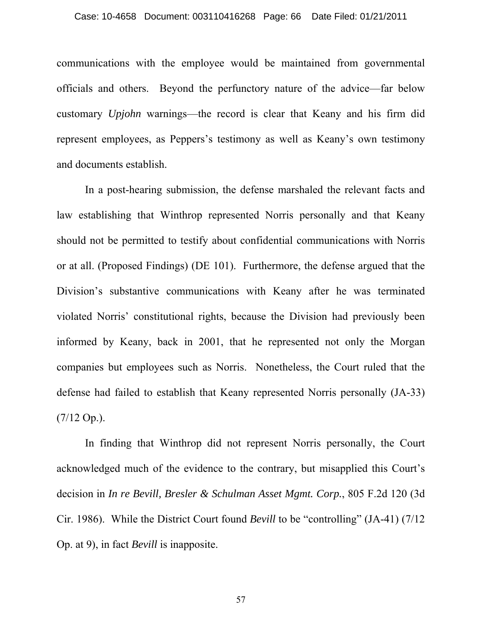#### Case: 10-4658 Document: 003110416268 Page: 66 Date Filed: 01/21/2011

communications with the employee would be maintained from governmental officials and others. Beyond the perfunctory nature of the advice—far below customary *Upjohn* warnings—the record is clear that Keany and his firm did represent employees, as Peppers's testimony as well as Keany's own testimony and documents establish.

In a post-hearing submission, the defense marshaled the relevant facts and law establishing that Winthrop represented Norris personally and that Keany should not be permitted to testify about confidential communications with Norris or at all. (Proposed Findings) (DE 101). Furthermore, the defense argued that the Division's substantive communications with Keany after he was terminated violated Norris' constitutional rights, because the Division had previously been informed by Keany, back in 2001, that he represented not only the Morgan companies but employees such as Norris. Nonetheless, the Court ruled that the defense had failed to establish that Keany represented Norris personally (JA-33)  $(7/12 \text{ Op.})$ .

In finding that Winthrop did not represent Norris personally, the Court acknowledged much of the evidence to the contrary, but misapplied this Court's decision in *In re Bevill, Bresler & Schulman Asset Mgmt. Corp.*, 805 F.2d 120 (3d Cir. 1986). While the District Court found *Bevill* to be "controlling" (JA-41) (7/12 Op. at 9), in fact *Bevill* is inapposite.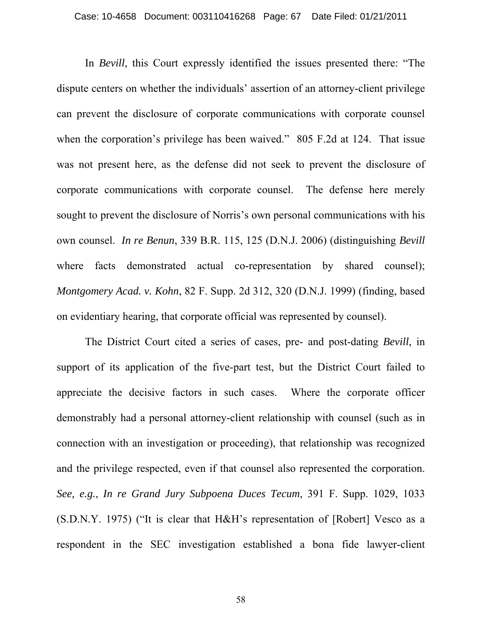In *Bevill*, this Court expressly identified the issues presented there: "The dispute centers on whether the individuals' assertion of an attorney-client privilege can prevent the disclosure of corporate communications with corporate counsel when the corporation's privilege has been waived." 805 F.2d at 124. That issue was not present here, as the defense did not seek to prevent the disclosure of corporate communications with corporate counsel. The defense here merely sought to prevent the disclosure of Norris's own personal communications with his own counsel. *In re Benun*, 339 B.R. 115, 125 (D.N.J. 2006) (distinguishing *Bevill* where facts demonstrated actual co-representation by shared counsel); *Montgomery Acad. v. Kohn*, 82 F. Supp. 2d 312, 320 (D.N.J. 1999) (finding, based on evidentiary hearing, that corporate official was represented by counsel).

The District Court cited a series of cases, pre- and post-dating *Bevill*, in support of its application of the five-part test, but the District Court failed to appreciate the decisive factors in such cases. Where the corporate officer demonstrably had a personal attorney-client relationship with counsel (such as in connection with an investigation or proceeding), that relationship was recognized and the privilege respected, even if that counsel also represented the corporation. *See, e.g.*, *In re Grand Jury Subpoena Duces Tecum*, 391 F. Supp. 1029, 1033 (S.D.N.Y. 1975) ("It is clear that H&H's representation of [Robert] Vesco as a respondent in the SEC investigation established a bona fide lawyer-client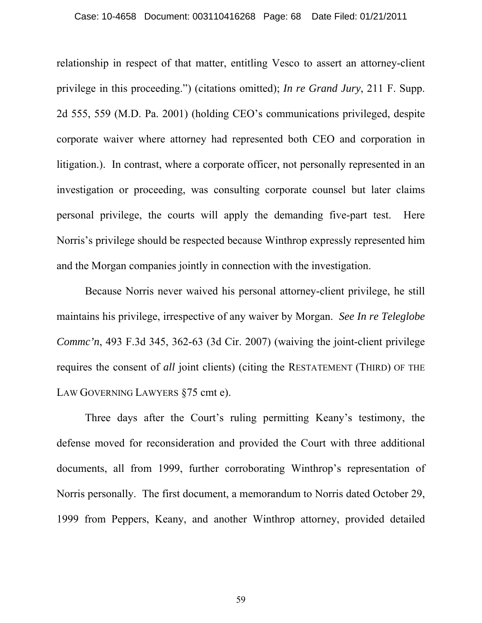relationship in respect of that matter, entitling Vesco to assert an attorney-client privilege in this proceeding.") (citations omitted); *In re Grand Jury*, 211 F. Supp. 2d 555, 559 (M.D. Pa. 2001) (holding CEO's communications privileged, despite corporate waiver where attorney had represented both CEO and corporation in litigation.). In contrast, where a corporate officer, not personally represented in an investigation or proceeding, was consulting corporate counsel but later claims personal privilege, the courts will apply the demanding five-part test. Here Norris's privilege should be respected because Winthrop expressly represented him and the Morgan companies jointly in connection with the investigation.

Because Norris never waived his personal attorney-client privilege, he still maintains his privilege, irrespective of any waiver by Morgan. *See In re Teleglobe Commc'n*, 493 F.3d 345, 362-63 (3d Cir. 2007) (waiving the joint-client privilege requires the consent of *all* joint clients) (citing the RESTATEMENT (THIRD) OF THE LAW GOVERNING LAWYERS §75 cmt e).

Three days after the Court's ruling permitting Keany's testimony, the defense moved for reconsideration and provided the Court with three additional documents, all from 1999, further corroborating Winthrop's representation of Norris personally. The first document, a memorandum to Norris dated October 29, 1999 from Peppers, Keany, and another Winthrop attorney, provided detailed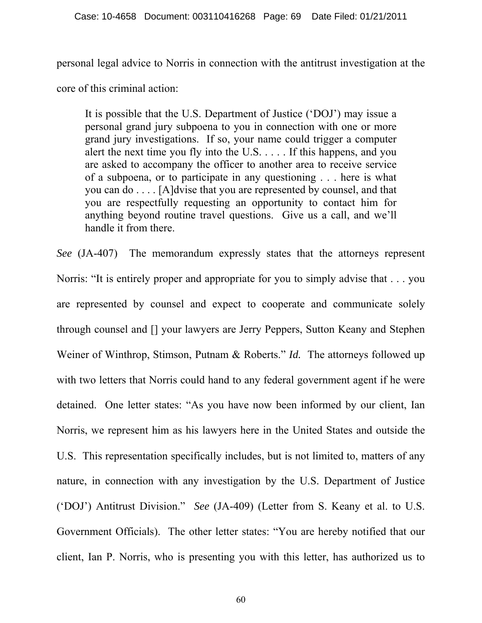personal legal advice to Norris in connection with the antitrust investigation at the

core of this criminal action:

It is possible that the U.S. Department of Justice ('DOJ') may issue a personal grand jury subpoena to you in connection with one or more grand jury investigations. If so, your name could trigger a computer alert the next time you fly into the U.S. . . . . If this happens, and you are asked to accompany the officer to another area to receive service of a subpoena, or to participate in any questioning . . . here is what you can do . . . . [A]dvise that you are represented by counsel, and that you are respectfully requesting an opportunity to contact him for anything beyond routine travel questions. Give us a call, and we'll handle it from there.

*See* (JA-407) The memorandum expressly states that the attorneys represent Norris: "It is entirely proper and appropriate for you to simply advise that . . . you are represented by counsel and expect to cooperate and communicate solely through counsel and [] your lawyers are Jerry Peppers, Sutton Keany and Stephen Weiner of Winthrop, Stimson, Putnam & Roberts." *Id.* The attorneys followed up with two letters that Norris could hand to any federal government agent if he were detained. One letter states: "As you have now been informed by our client, Ian Norris, we represent him as his lawyers here in the United States and outside the U.S. This representation specifically includes, but is not limited to, matters of any nature, in connection with any investigation by the U.S. Department of Justice ('DOJ') Antitrust Division." *See* (JA-409) (Letter from S. Keany et al. to U.S. Government Officials). The other letter states: "You are hereby notified that our client, Ian P. Norris, who is presenting you with this letter, has authorized us to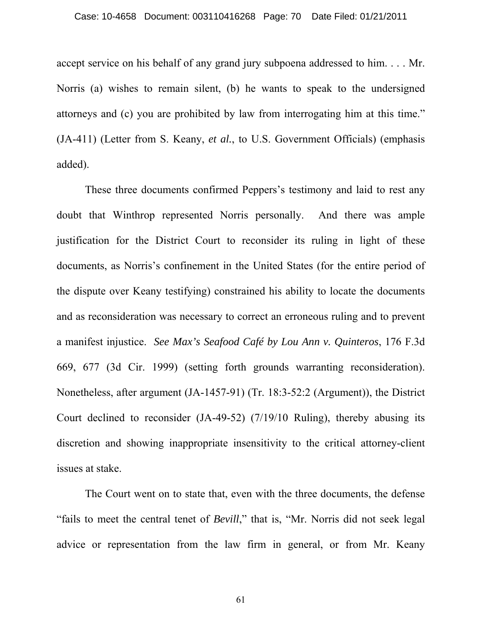#### Case: 10-4658 Document: 003110416268 Page: 70 Date Filed: 01/21/2011

accept service on his behalf of any grand jury subpoena addressed to him. . . . Mr. Norris (a) wishes to remain silent, (b) he wants to speak to the undersigned attorneys and (c) you are prohibited by law from interrogating him at this time." (JA-411) (Letter from S. Keany, *et al.*, to U.S. Government Officials) (emphasis added).

 These three documents confirmed Peppers's testimony and laid to rest any doubt that Winthrop represented Norris personally. And there was ample justification for the District Court to reconsider its ruling in light of these documents, as Norris's confinement in the United States (for the entire period of the dispute over Keany testifying) constrained his ability to locate the documents and as reconsideration was necessary to correct an erroneous ruling and to prevent a manifest injustice. *See Max's Seafood Café by Lou Ann v. Quinteros*, 176 F.3d 669, 677 (3d Cir. 1999) (setting forth grounds warranting reconsideration). Nonetheless, after argument (JA-1457-91) (Tr. 18:3-52:2 (Argument)), the District Court declined to reconsider (JA-49-52) (7/19/10 Ruling), thereby abusing its discretion and showing inappropriate insensitivity to the critical attorney-client issues at stake.

 The Court went on to state that, even with the three documents, the defense "fails to meet the central tenet of *Bevill*," that is, "Mr. Norris did not seek legal advice or representation from the law firm in general, or from Mr. Keany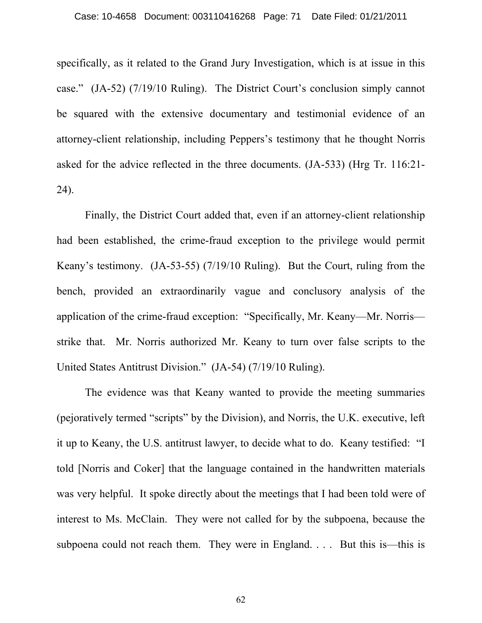specifically, as it related to the Grand Jury Investigation, which is at issue in this case." (JA-52) (7/19/10 Ruling). The District Court's conclusion simply cannot be squared with the extensive documentary and testimonial evidence of an attorney-client relationship, including Peppers's testimony that he thought Norris asked for the advice reflected in the three documents. (JA-533) (Hrg Tr. 116:21- 24).

 Finally, the District Court added that, even if an attorney-client relationship had been established, the crime-fraud exception to the privilege would permit Keany's testimony. (JA-53-55) (7/19/10 Ruling). But the Court, ruling from the bench, provided an extraordinarily vague and conclusory analysis of the application of the crime-fraud exception: "Specifically, Mr. Keany—Mr. Norris strike that. Mr. Norris authorized Mr. Keany to turn over false scripts to the United States Antitrust Division." (JA-54) (7/19/10 Ruling).

 The evidence was that Keany wanted to provide the meeting summaries (pejoratively termed "scripts" by the Division), and Norris, the U.K. executive, left it up to Keany, the U.S. antitrust lawyer, to decide what to do. Keany testified: "I told [Norris and Coker] that the language contained in the handwritten materials was very helpful. It spoke directly about the meetings that I had been told were of interest to Ms. McClain. They were not called for by the subpoena, because the subpoena could not reach them. They were in England. . . . But this is—this is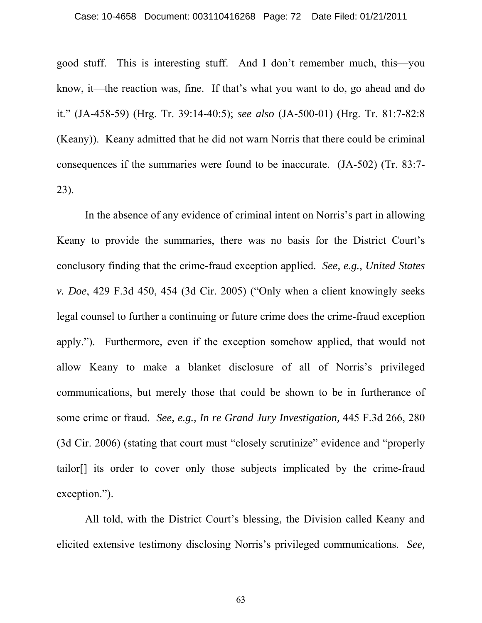#### Case: 10-4658 Document: 003110416268 Page: 72 Date Filed: 01/21/2011

good stuff. This is interesting stuff. And I don't remember much, this—you know, it—the reaction was, fine. If that's what you want to do, go ahead and do it." (JA-458-59) (Hrg. Tr. 39:14-40:5); *see also* (JA-500-01) (Hrg. Tr. 81:7-82:8 (Keany)). Keany admitted that he did not warn Norris that there could be criminal consequences if the summaries were found to be inaccurate. (JA-502) (Tr. 83:7- 23).

 In the absence of any evidence of criminal intent on Norris's part in allowing Keany to provide the summaries, there was no basis for the District Court's conclusory finding that the crime-fraud exception applied. *See, e.g.*, *United States v. Doe*, 429 F.3d 450, 454 (3d Cir. 2005) ("Only when a client knowingly seeks legal counsel to further a continuing or future crime does the crime-fraud exception apply."). Furthermore, even if the exception somehow applied, that would not allow Keany to make a blanket disclosure of all of Norris's privileged communications, but merely those that could be shown to be in furtherance of some crime or fraud. *See, e.g., In re Grand Jury Investigation,* 445 F.3d 266, 280 (3d Cir. 2006) (stating that court must "closely scrutinize" evidence and "properly tailor[] its order to cover only those subjects implicated by the crime-fraud exception.").

 All told, with the District Court's blessing, the Division called Keany and elicited extensive testimony disclosing Norris's privileged communications. *See,*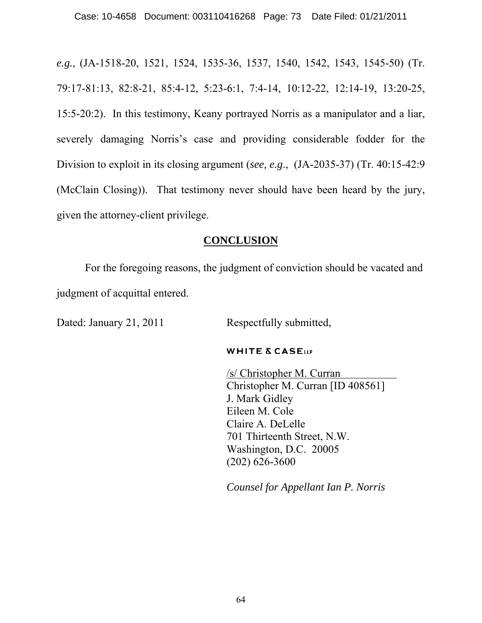*e.g.*, (JA-1518-20, 1521, 1524, 1535-36, 1537, 1540, 1542, 1543, 1545-50) (Tr. 79:17-81:13, 82:8-21, 85:4-12, 5:23-6:1, 7:4-14, 10:12-22, 12:14-19, 13:20-25, 15:5-20:2). In this testimony, Keany portrayed Norris as a manipulator and a liar, severely damaging Norris's case and providing considerable fodder for the Division to exploit in its closing argument (*see, e.g*., (JA-2035-37) (Tr. 40:15-42:9 (McClain Closing)). That testimony never should have been heard by the jury, given the attorney-client privilege.

## **CONCLUSION**

 For the foregoing reasons, the judgment of conviction should be vacated and judgment of acquittal entered.

Dated: January 21, 2011 Respectfully submitted,

#### **WHITE & CASELLP**

 /s/ Christopher M. Curran Christopher M. Curran [ID 408561] J. Mark Gidley Eileen M. Cole Claire A. DeLelle 701 Thirteenth Street, N.W. Washington, D.C. 20005 (202) 626-3600

*Counsel for Appellant Ian P. Norris*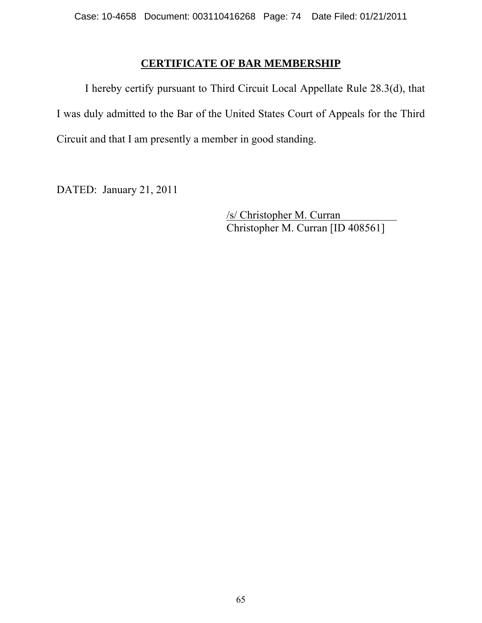# **CERTIFICATE OF BAR MEMBERSHIP**

 I hereby certify pursuant to Third Circuit Local Appellate Rule 28.3(d), that I was duly admitted to the Bar of the United States Court of Appeals for the Third Circuit and that I am presently a member in good standing.

DATED: January 21, 2011

 /s/ Christopher M. Curran Christopher M. Curran [ID 408561]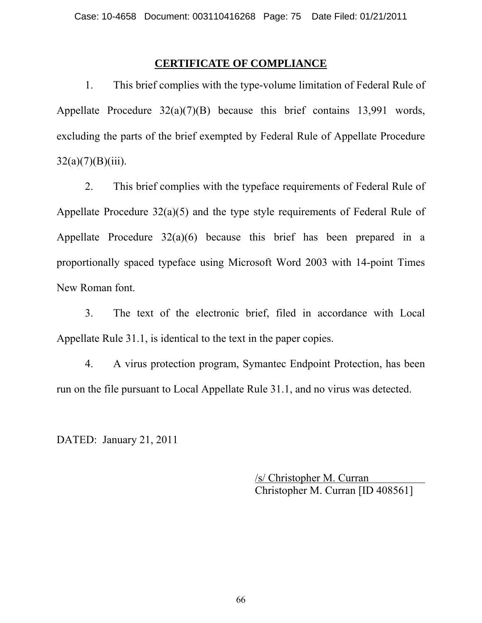### **CERTIFICATE OF COMPLIANCE**

 1. This brief complies with the type-volume limitation of Federal Rule of Appellate Procedure 32(a)(7)(B) because this brief contains 13,991 words, excluding the parts of the brief exempted by Federal Rule of Appellate Procedure  $32(a)(7)(B)(iii)$ .

 2. This brief complies with the typeface requirements of Federal Rule of Appellate Procedure 32(a)(5) and the type style requirements of Federal Rule of Appellate Procedure 32(a)(6) because this brief has been prepared in a proportionally spaced typeface using Microsoft Word 2003 with 14-point Times New Roman font.

 3. The text of the electronic brief, filed in accordance with Local Appellate Rule 31.1, is identical to the text in the paper copies.

 4. A virus protection program, Symantec Endpoint Protection, has been run on the file pursuant to Local Appellate Rule 31.1, and no virus was detected.

DATED: January 21, 2011

 /s/ Christopher M. Curran Christopher M. Curran [ID 408561]